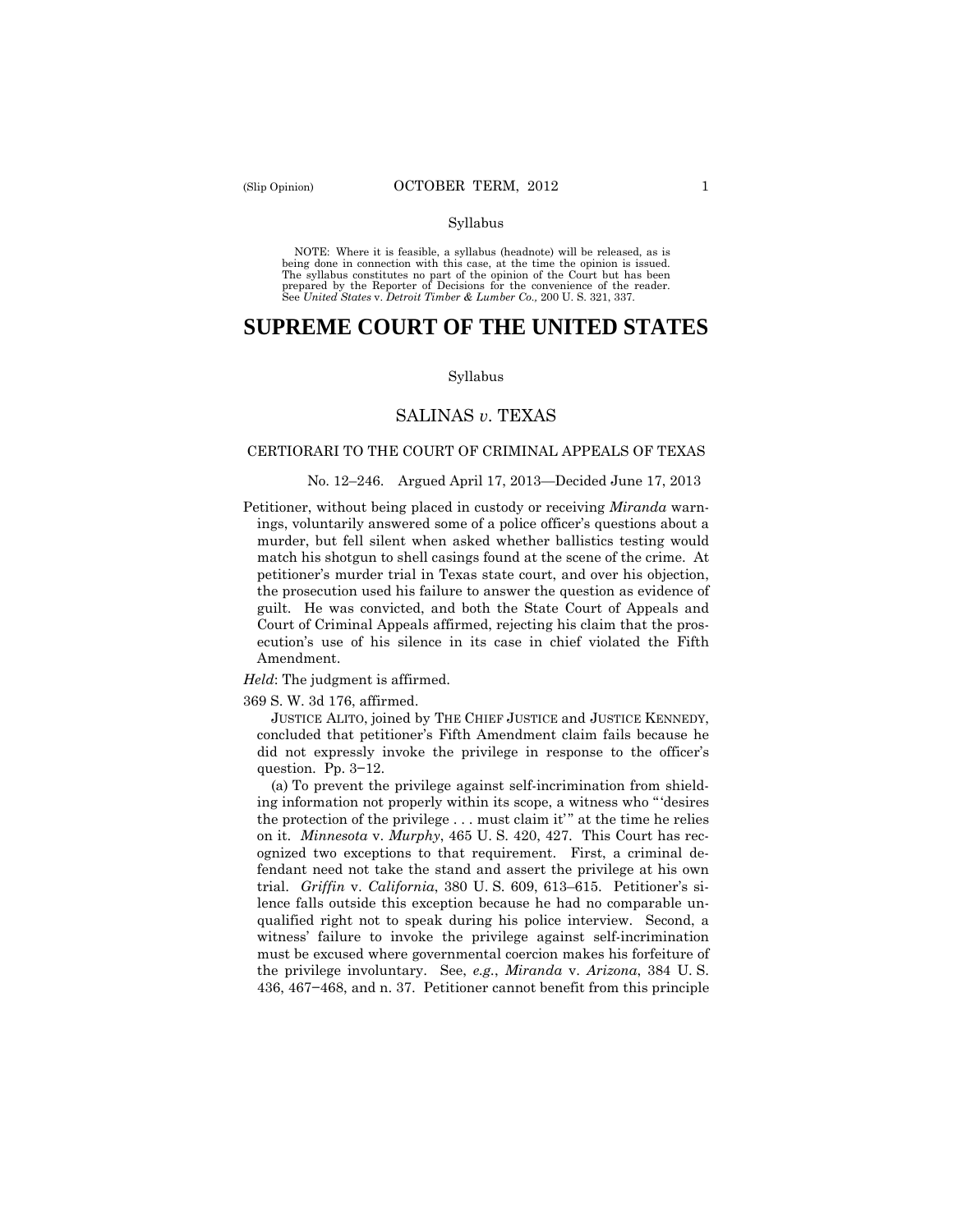#### Syllabus

 NOTE: Where it is feasible, a syllabus (headnote) will be released, as is being done in connection with this case, at the time the opinion is issued. The syllabus constitutes no part of the opinion of the Court but has been<br>prepared by the Reporter of Decisions for the convenience of the reader.<br>See United States v. Detroit Timber & Lumber Co., 200 U. S. 321, 337.

# **SUPREME COURT OF THE UNITED STATES**

#### Syllabus

## SALINAS *v*. TEXAS

#### CERTIORARI TO THE COURT OF CRIMINAL APPEALS OF TEXAS

#### No. 12–246. Argued April 17, 2013—Decided June 17, 2013

Petitioner, without being placed in custody or receiving *Miranda* warnings, voluntarily answered some of a police officer's questions about a murder, but fell silent when asked whether ballistics testing would match his shotgun to shell casings found at the scene of the crime. At petitioner's murder trial in Texas state court, and over his objection, the prosecution used his failure to answer the question as evidence of guilt. He was convicted, and both the State Court of Appeals and Court of Criminal Appeals affirmed, rejecting his claim that the prosecution's use of his silence in its case in chief violated the Fifth Amendment.

*Held*: The judgment is affirmed.

369 S. W. 3d 176, affirmed.

JUSTICE ALITO, joined by THE CHIEF JUSTICE and JUSTICE KENNEDY, concluded that petitioner's Fifth Amendment claim fails because he did not expressly invoke the privilege in response to the officer's question. Pp. 3−12.

(a) To prevent the privilege against self-incrimination from shielding information not properly within its scope, a witness who " 'desires the protection of the privilege . . . must claim it" at the time he relies on it. *Minnesota* v. *Murphy*, 465 U. S. 420, 427. This Court has recognized two exceptions to that requirement. First, a criminal defendant need not take the stand and assert the privilege at his own trial. *Griffin* v. *California*, 380 U. S. 609, 613–615. Petitioner's silence falls outside this exception because he had no comparable unqualified right not to speak during his police interview. Second, a witness' failure to invoke the privilege against self-incrimination must be excused where governmental coercion makes his forfeiture of the privilege involuntary. See, *e.g.*, *Miranda* v. *Arizona*, 384 U. S. 436, 467−468, and n. 37. Petitioner cannot benefit from this principle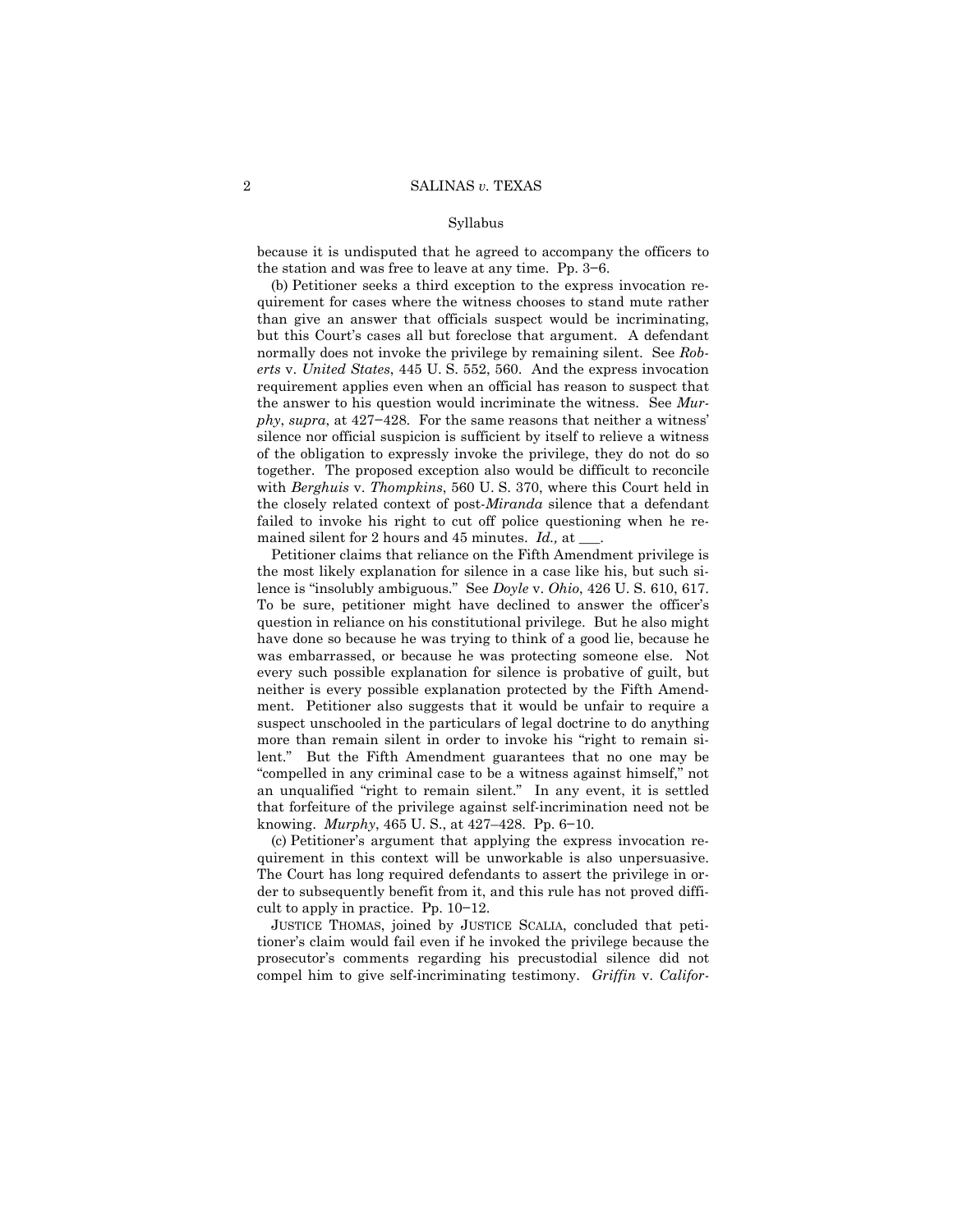#### Syllabus

because it is undisputed that he agreed to accompany the officers to the station and was free to leave at any time. Pp. 3−6.

(b) Petitioner seeks a third exception to the express invocation requirement for cases where the witness chooses to stand mute rather than give an answer that officials suspect would be incriminating, but this Court's cases all but foreclose that argument. A defendant normally does not invoke the privilege by remaining silent. See *Roberts* v. *United States*, 445 U. S. 552, 560. And the express invocation requirement applies even when an official has reason to suspect that the answer to his question would incriminate the witness. See *Murphy*, *supra*, at 427−428. For the same reasons that neither a witness' silence nor official suspicion is sufficient by itself to relieve a witness of the obligation to expressly invoke the privilege, they do not do so together. The proposed exception also would be difficult to reconcile with *Berghuis* v. *Thompkins*, 560 U. S. 370, where this Court held in the closely related context of post-*Miranda* silence that a defendant failed to invoke his right to cut off police questioning when he remained silent for 2 hours and 45 minutes. *Id.,* at \_\_\_.

lence is "insolubly ambiguous." See Doyle v. Ohio, 426 U.S. 610, 617. Petitioner claims that reliance on the Fifth Amendment privilege is the most likely explanation for silence in a case like his, but such si-To be sure, petitioner might have declined to answer the officer's question in reliance on his constitutional privilege. But he also might have done so because he was trying to think of a good lie, because he was embarrassed, or because he was protecting someone else. Not every such possible explanation for silence is probative of guilt, but neither is every possible explanation protected by the Fifth Amendment. Petitioner also suggests that it would be unfair to require a suspect unschooled in the particulars of legal doctrine to do anything more than remain silent in order to invoke his "right to remain silent." But the Fifth Amendment guarantees that no one may be "compelled in any criminal case to be a witness against himself," not an unqualified "right to remain silent." In any event, it is settled that forfeiture of the privilege against self-incrimination need not be knowing. *Murphy*, 465 U. S., at 427–428. Pp. 6−10.

(c) Petitioner's argument that applying the express invocation requirement in this context will be unworkable is also unpersuasive. The Court has long required defendants to assert the privilege in order to subsequently benefit from it, and this rule has not proved difficult to apply in practice. Pp. 10−12.

 compel him to give self-incriminating testimony. *Griffin* v. *Califor-*JUSTICE THOMAS, joined by JUSTICE SCALIA, concluded that petitioner's claim would fail even if he invoked the privilege because the prosecutor's comments regarding his precustodial silence did not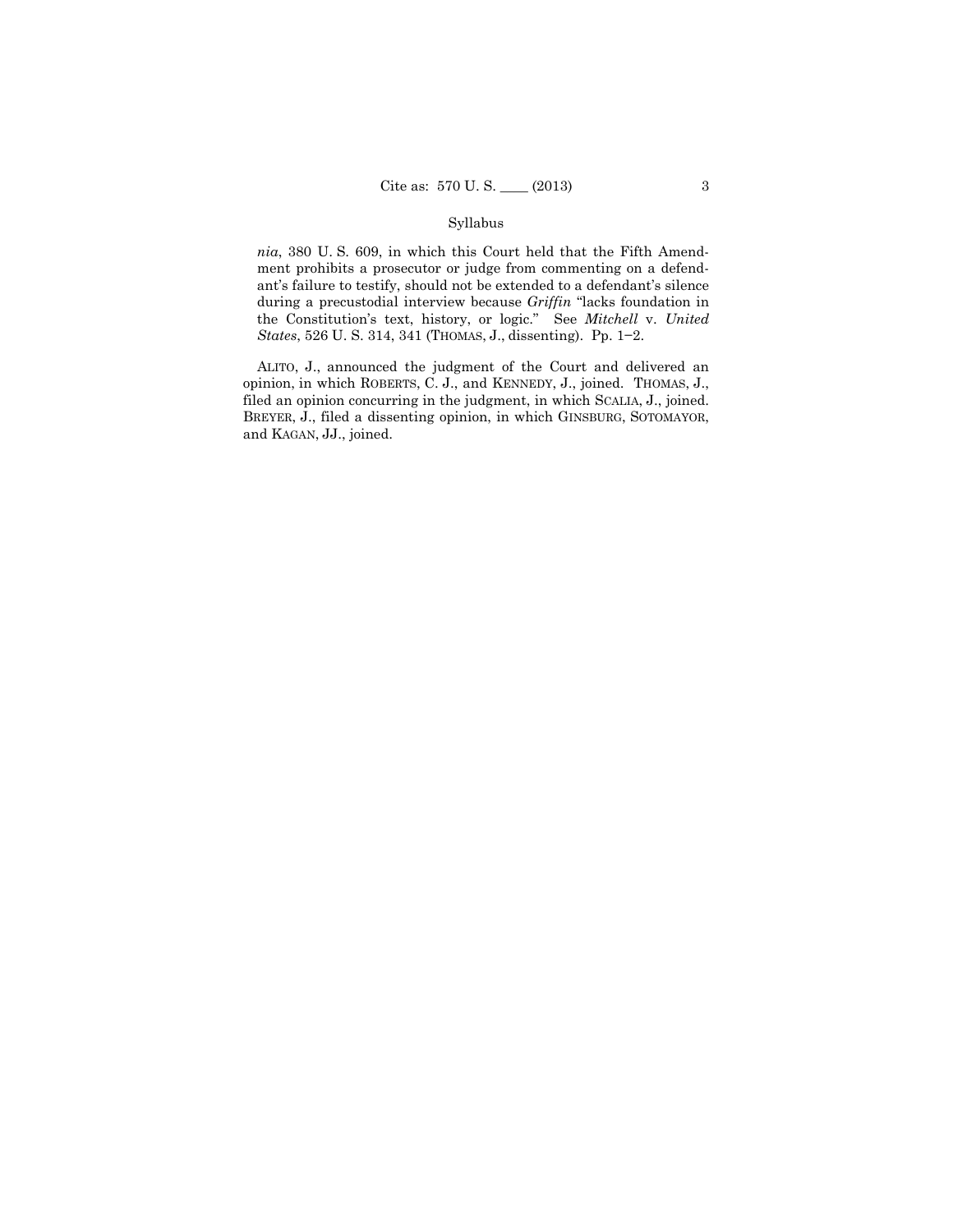### Syllabus

 *States*, 526 U. S. 314, 341 (THOMAS, J., dissenting). Pp. 1−2. *nia*, 380 U. S. 609, in which this Court held that the Fifth Amendment prohibits a prosecutor or judge from commenting on a defendant's failure to testify, should not be extended to a defendant's silence during a precustodial interview because *Griffin* "lacks foundation in the Constitution's text, history, or logic." See *Mitchell* v. *United* 

 ALITO, J., announced the judgment of the Court and delivered an opinion, in which ROBERTS, C. J., and KENNEDY, J., joined. THOMAS, J., filed an opinion concurring in the judgment, in which SCALIA, J., joined. BREYER, J., filed a dissenting opinion, in which GINSBURG, SOTOMAYOR, and KAGAN, JJ., joined.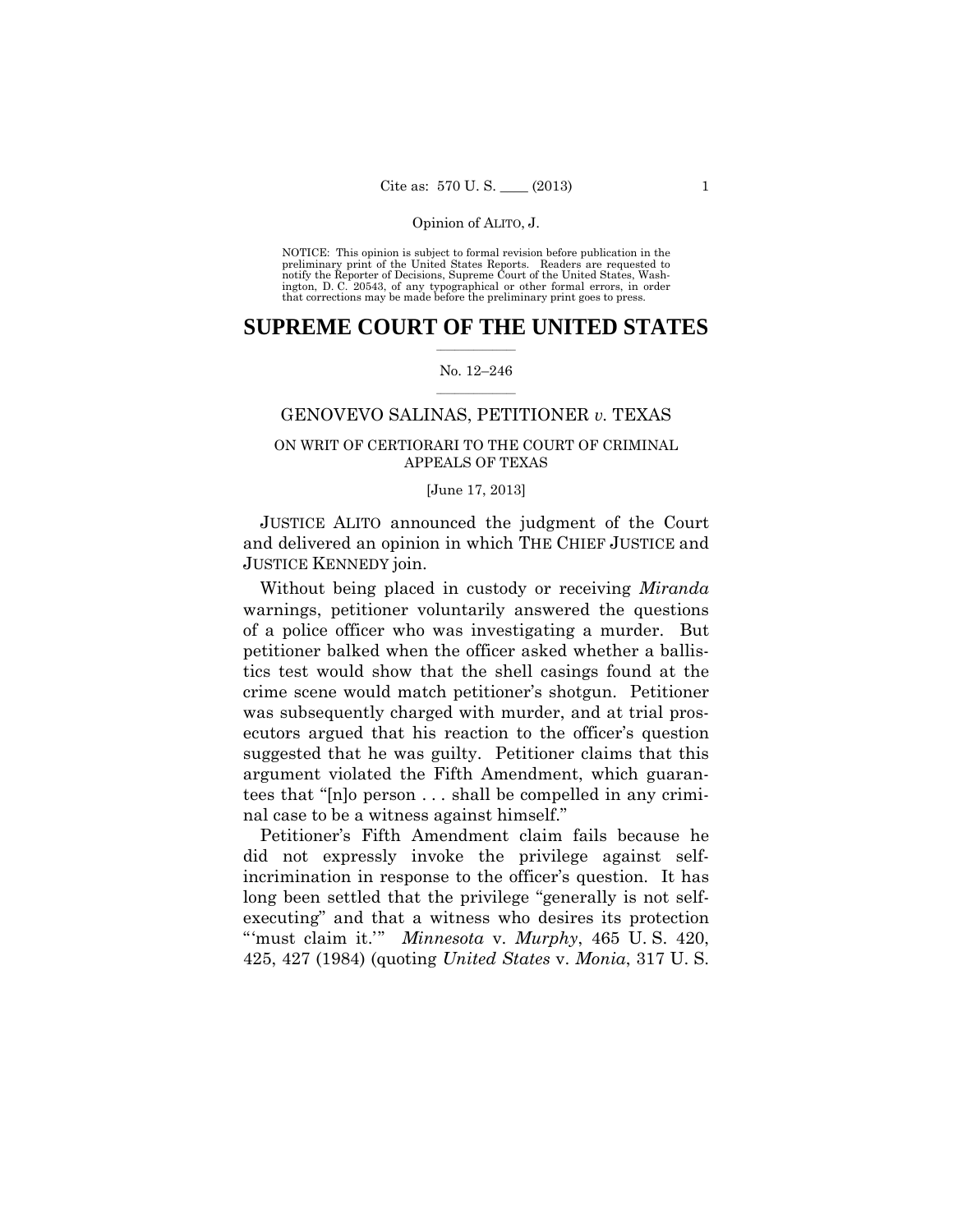preliminary print of the United States Reports. Readers are requested to notify the Reporter of Decisions, Supreme Court of the United States, Wash- ington, D. C. 20543, of any typographical or other formal errors, in order that corrections may be made before the preliminary print goes to press. NOTICE: This opinion is subject to formal revision before publication in the

### $\frac{1}{2}$  , where  $\frac{1}{2}$ **SUPREME COURT OF THE UNITED STATES**

### $\frac{1}{2}$  ,  $\frac{1}{2}$  ,  $\frac{1}{2}$  ,  $\frac{1}{2}$  ,  $\frac{1}{2}$  ,  $\frac{1}{2}$ No. 12–246

### GENOVEVO SALINAS, PETITIONER *v.* TEXAS

# ON WRIT OF CERTIORARI TO THE COURT OF CRIMINAL APPEALS OF TEXAS

### [June 17, 2013]

JUSTICE ALITO announced the judgment of the Court and delivered an opinion in which THE CHIEF JUSTICE and JUSTICE KENNEDY join.

Without being placed in custody or receiving *Miranda*  warnings, petitioner voluntarily answered the questions of a police officer who was investigating a murder. But petitioner balked when the officer asked whether a ballistics test would show that the shell casings found at the crime scene would match petitioner's shotgun. Petitioner was subsequently charged with murder, and at trial prosecutors argued that his reaction to the officer's question suggested that he was guilty. Petitioner claims that this argument violated the Fifth Amendment, which guarantees that "[n]o person . . . shall be compelled in any criminal case to be a witness against himself."

Petitioner's Fifth Amendment claim fails because he did not expressly invoke the privilege against selfincrimination in response to the officer's question. It has long been settled that the privilege "generally is not selfexecuting" and that a witness who desires its protection "'must claim it.'" *Minnesota* v. *Murphy*, 465 U. S. 420, 425, 427 (1984) (quoting *United States* v. *Monia*, 317 U. S.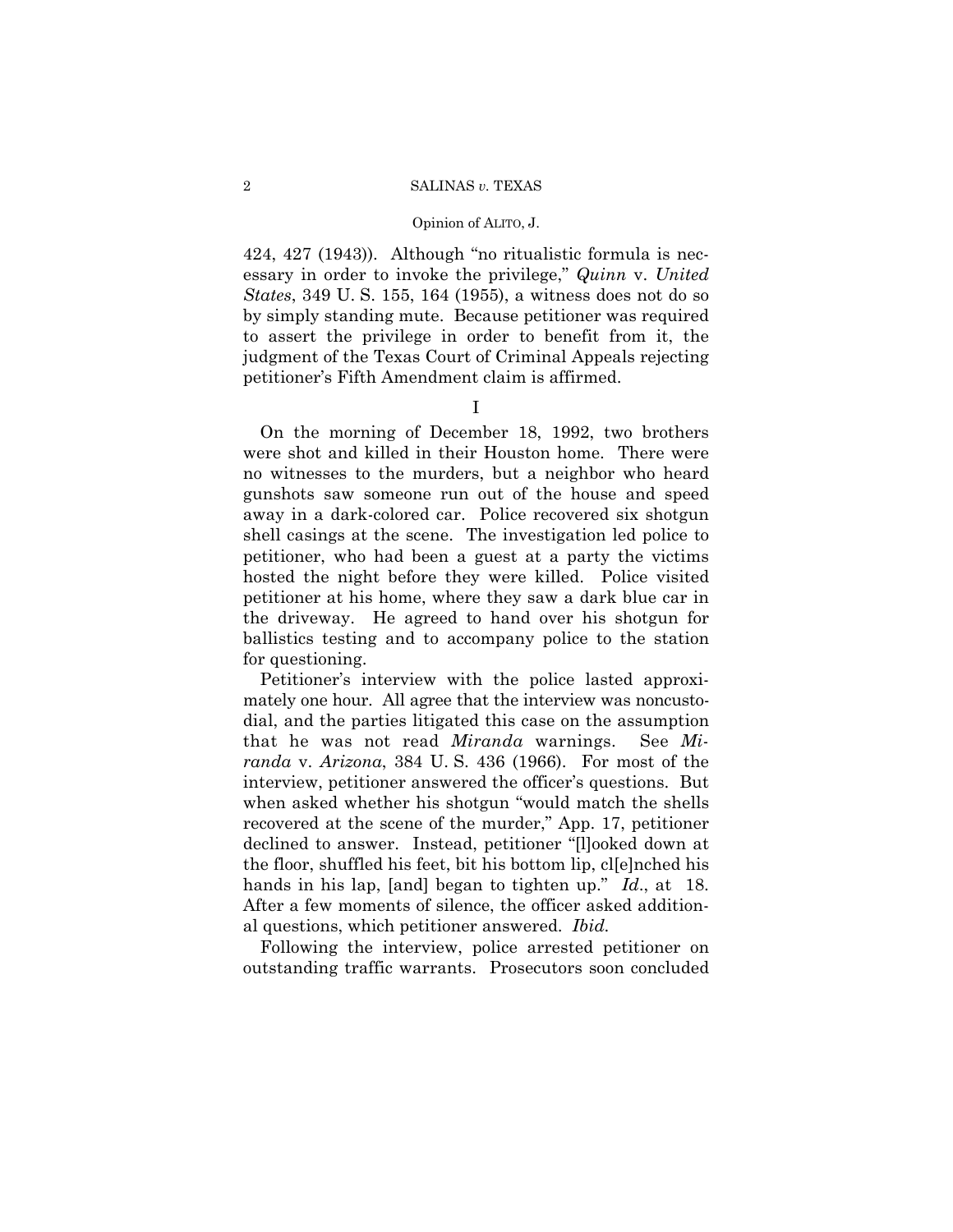### Opinion of ALITO, J.

424, 427 (1943)). Although "no ritualistic formula is necessary in order to invoke the privilege," *Quinn* v. *United States*, 349 U. S. 155, 164 (1955), a witness does not do so by simply standing mute. Because petitioner was required to assert the privilege in order to benefit from it, the judgment of the Texas Court of Criminal Appeals rejecting petitioner's Fifth Amendment claim is affirmed.

I

On the morning of December 18, 1992, two brothers were shot and killed in their Houston home. There were no witnesses to the murders, but a neighbor who heard gunshots saw someone run out of the house and speed away in a dark-colored car. Police recovered six shotgun shell casings at the scene. The investigation led police to petitioner, who had been a guest at a party the victims hosted the night before they were killed. Police visited petitioner at his home, where they saw a dark blue car in the driveway. He agreed to hand over his shotgun for ballistics testing and to accompany police to the station for questioning.

Petitioner's interview with the police lasted approximately one hour. All agree that the interview was noncustodial, and the parties litigated this case on the assumption that he was not read *Miranda* warnings. See *Miranda* v. *Arizona*, 384 U. S. 436 (1966). For most of the interview, petitioner answered the officer's questions. But when asked whether his shotgun "would match the shells recovered at the scene of the murder," App. 17, petitioner declined to answer. Instead, petitioner "[l]ooked down at the floor, shuffled his feet, bit his bottom lip, cl[e]nched his hands in his lap, [and] began to tighten up." *Id.*, at 18. After a few moments of silence, the officer asked additional questions, which petitioner answered. *Ibid.* 

Following the interview, police arrested petitioner on outstanding traffic warrants. Prosecutors soon concluded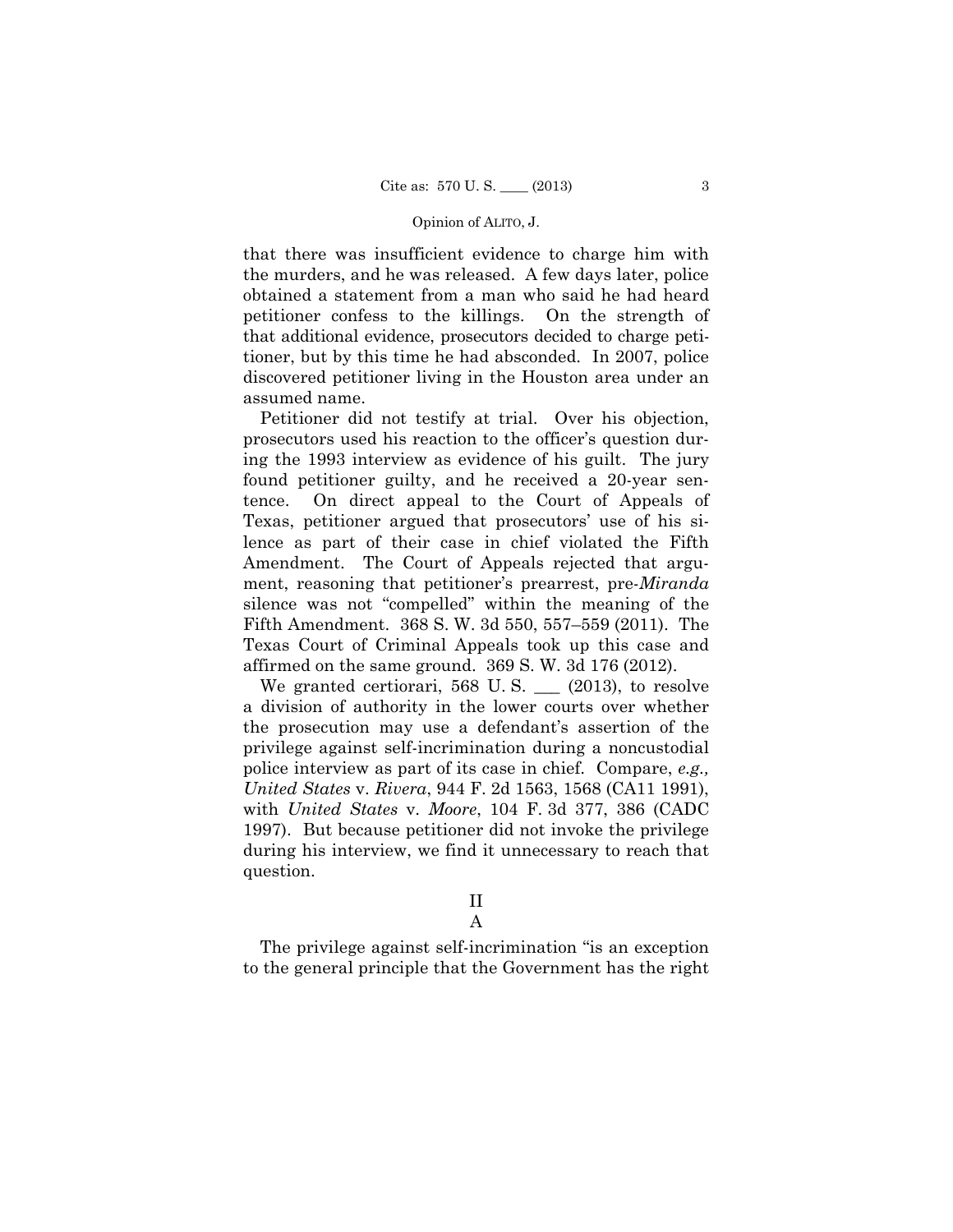that there was insufficient evidence to charge him with the murders, and he was released. A few days later, police obtained a statement from a man who said he had heard petitioner confess to the killings. On the strength of that additional evidence, prosecutors decided to charge petitioner, but by this time he had absconded. In 2007, police discovered petitioner living in the Houston area under an assumed name.

Petitioner did not testify at trial. Over his objection, prosecutors used his reaction to the officer's question during the 1993 interview as evidence of his guilt. The jury found petitioner guilty, and he received a 20-year sentence. On direct appeal to the Court of Appeals of Texas, petitioner argued that prosecutors' use of his silence as part of their case in chief violated the Fifth Amendment. The Court of Appeals rejected that argument, reasoning that petitioner's prearrest, pre-*Miranda*  silence was not "compelled" within the meaning of the Fifth Amendment. 368 S. W. 3d 550, 557–559 (2011). The Texas Court of Criminal Appeals took up this case and affirmed on the same ground. 369 S. W. 3d 176 (2012).

We granted certiorari, 568 U.S.  $\_\_$  (2013), to resolve a division of authority in the lower courts over whether the prosecution may use a defendant's assertion of the privilege against self-incrimination during a noncustodial police interview as part of its case in chief. Compare, *e.g., United States* v. *Rivera*, 944 F. 2d 1563, 1568 (CA11 1991), with *United States* v. *Moore*, 104 F. 3d 377, 386 (CADC 1997). But because petitioner did not invoke the privilege during his interview, we find it unnecessary to reach that question.

II

A

The privilege against self-incrimination "is an exception to the general principle that the Government has the right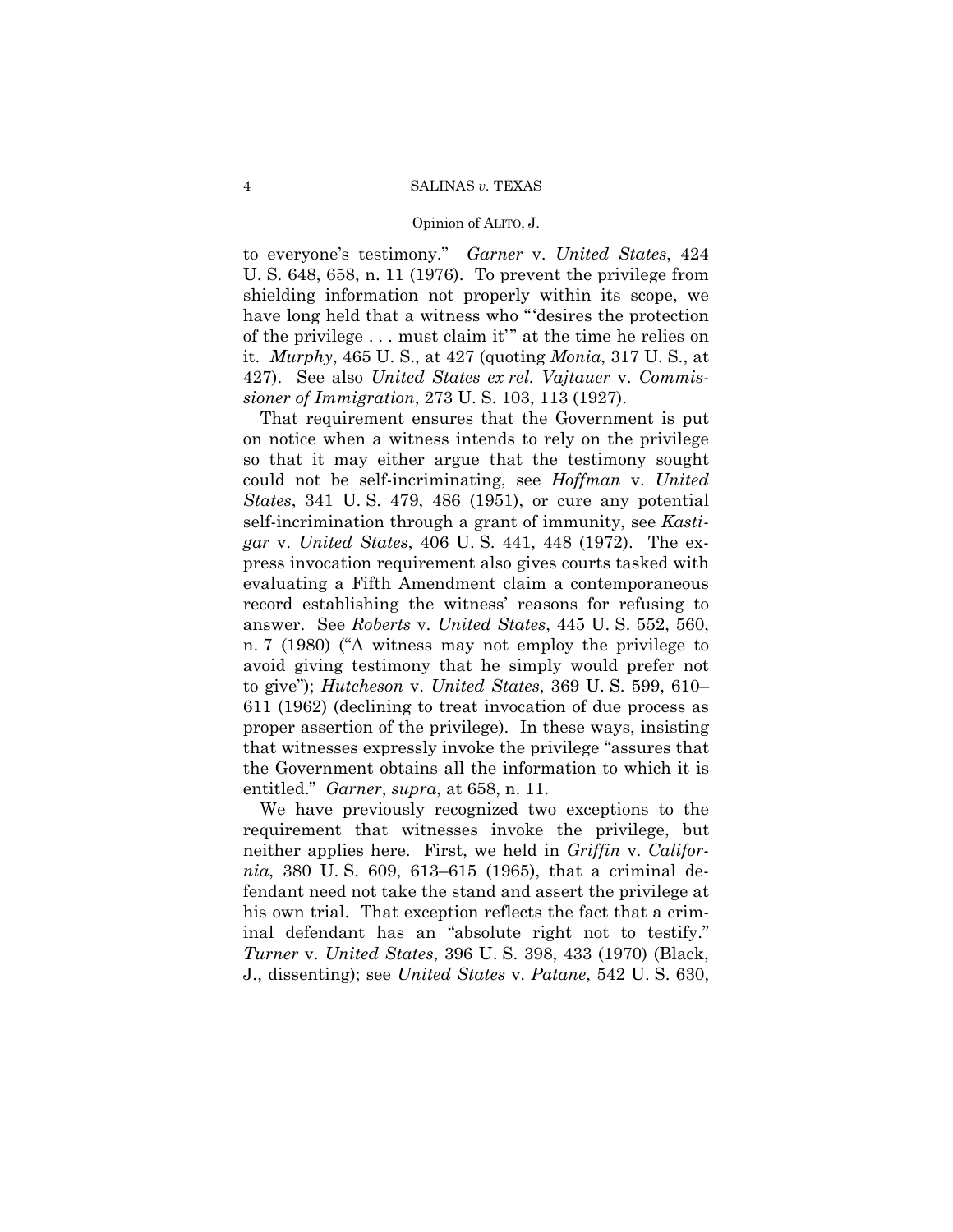to everyone's testimony." *Garner* v. *United States*, 424 U. S. 648, 658, n. 11 (1976). To prevent the privilege from shielding information not properly within its scope, we have long held that a witness who "'desires the protection of the privilege . . . must claim it'" at the time he relies on it. *Murphy*, 465 U. S., at 427 (quoting *Monia*, 317 U. S., at 427). See also *United States ex rel. Vajtauer* v. *Commissioner of Immigration*, 273 U. S. 103, 113 (1927).

That requirement ensures that the Government is put on notice when a witness intends to rely on the privilege so that it may either argue that the testimony sought could not be self-incriminating, see *Hoffman* v. *United States*, 341 U. S. 479, 486 (1951), or cure any potential self-incrimination through a grant of immunity, see *Kastigar* v. *United States*, 406 U. S. 441, 448 (1972). The express invocation requirement also gives courts tasked with evaluating a Fifth Amendment claim a contemporaneous record establishing the witness' reasons for refusing to answer. See *Roberts* v. *United States*, 445 U. S. 552, 560, n. 7 (1980) ("A witness may not employ the privilege to avoid giving testimony that he simply would prefer not to give"); *Hutcheson* v. *United States*, 369 U. S. 599, 610– 611 (1962) (declining to treat invocation of due process as proper assertion of the privilege). In these ways, insisting that witnesses expressly invoke the privilege "assures that the Government obtains all the information to which it is entitled." *Garner*, *supra*, at 658, n. 11.

We have previously recognized two exceptions to the requirement that witnesses invoke the privilege, but neither applies here. First, we held in *Griffin* v. *California*, 380 U. S. 609, 613–615 (1965), that a criminal defendant need not take the stand and assert the privilege at his own trial. That exception reflects the fact that a criminal defendant has an "absolute right not to testify." *Turner* v. *United States*, 396 U. S. 398, 433 (1970) (Black, J., dissenting); see *United States* v. *Patane*, 542 U. S. 630,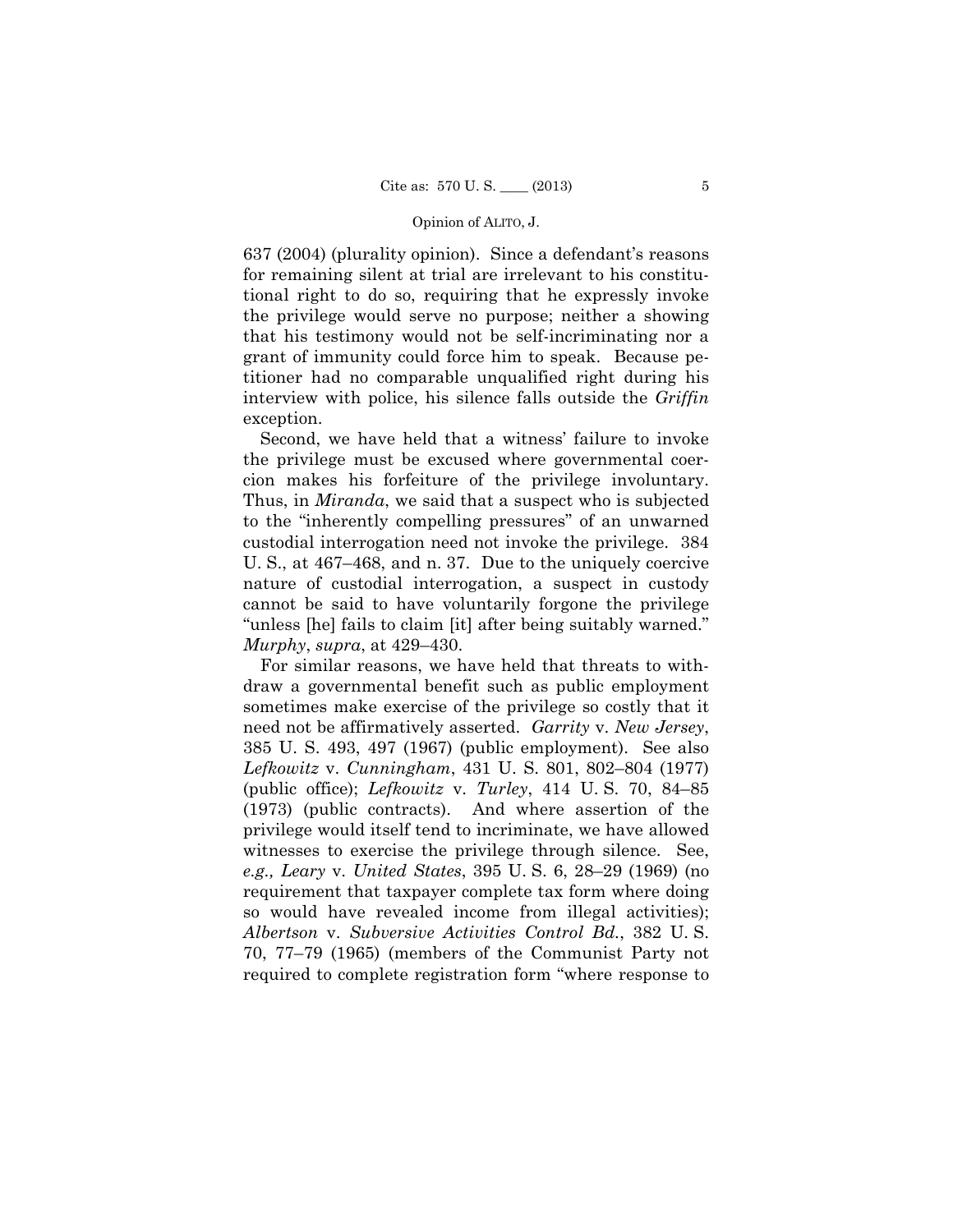637 (2004) (plurality opinion). Since a defendant's reasons for remaining silent at trial are irrelevant to his constitutional right to do so, requiring that he expressly invoke the privilege would serve no purpose; neither a showing that his testimony would not be self-incriminating nor a grant of immunity could force him to speak. Because petitioner had no comparable unqualified right during his interview with police, his silence falls outside the *Griffin*  exception.

Second, we have held that a witness' failure to invoke the privilege must be excused where governmental coercion makes his forfeiture of the privilege involuntary. Thus, in *Miranda*, we said that a suspect who is subjected to the "inherently compelling pressures" of an unwarned custodial interrogation need not invoke the privilege. 384 U. S., at 467–468, and n. 37. Due to the uniquely coercive nature of custodial interrogation, a suspect in custody cannot be said to have voluntarily forgone the privilege "unless [he] fails to claim [it] after being suitably warned." *Murphy*, *supra*, at 429–430.

For similar reasons, we have held that threats to withdraw a governmental benefit such as public employment sometimes make exercise of the privilege so costly that it need not be affirmatively asserted. *Garrity* v. *New Jersey*, 385 U. S. 493, 497 (1967) (public employment). See also *Lefkowitz* v. *Cunningham*, 431 U. S. 801, 802–804 (1977) (public office); *Lefkowitz* v. *Turley*, 414 U. S. 70, 84–85 (1973) (public contracts). And where assertion of the privilege would itself tend to incriminate, we have allowed witnesses to exercise the privilege through silence. See, *e.g., Leary* v. *United States*, 395 U. S. 6, 28–29 (1969) (no requirement that taxpayer complete tax form where doing so would have revealed income from illegal activities); *Albertson* v. *Subversive Activities Control Bd.*, 382 U. S. 70, 77–79 (1965) (members of the Communist Party not required to complete registration form "where response to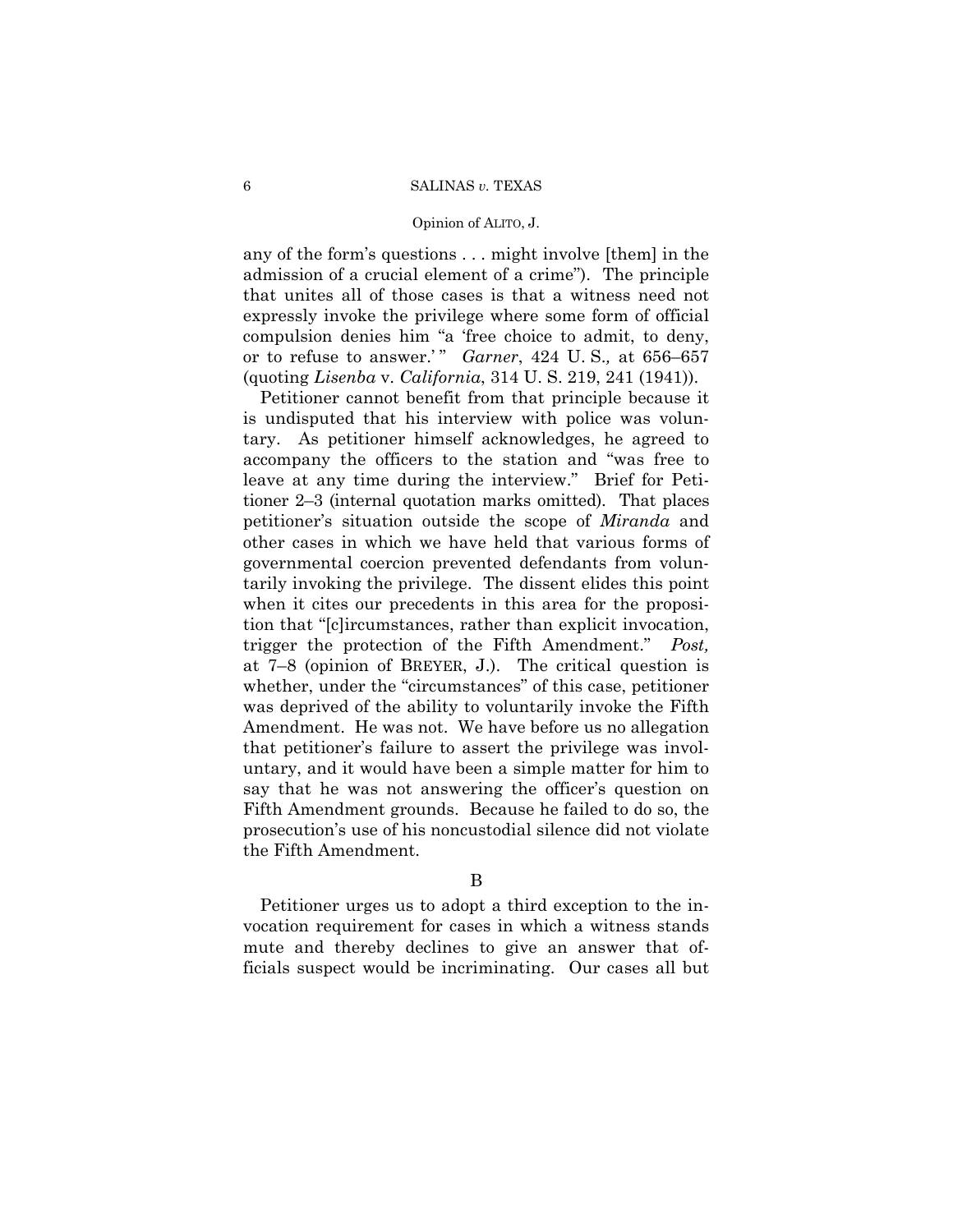any of the form's questions . . . might involve [them] in the admission of a crucial element of a crime"). The principle that unites all of those cases is that a witness need not expressly invoke the privilege where some form of official compulsion denies him "a 'free choice to admit, to deny, or to refuse to answer.' " *Garner*, 424 U. S.*,* at 656–657 (quoting *Lisenba* v. *California*, 314 U. S. 219, 241 (1941)).

Petitioner cannot benefit from that principle because it is undisputed that his interview with police was voluntary. As petitioner himself acknowledges, he agreed to accompany the officers to the station and "was free to leave at any time during the interview." Brief for Petitioner 2–3 (internal quotation marks omitted). That places petitioner's situation outside the scope of *Miranda* and other cases in which we have held that various forms of governmental coercion prevented defendants from voluntarily invoking the privilege. The dissent elides this point when it cites our precedents in this area for the proposition that "[c]ircumstances, rather than explicit invocation, trigger the protection of the Fifth Amendment." *Post,*  at 7–8 (opinion of BREYER, J.). The critical question is whether, under the "circumstances" of this case, petitioner was deprived of the ability to voluntarily invoke the Fifth Amendment. He was not. We have before us no allegation that petitioner's failure to assert the privilege was involuntary, and it would have been a simple matter for him to say that he was not answering the officer's question on Fifth Amendment grounds. Because he failed to do so, the prosecution's use of his noncustodial silence did not violate the Fifth Amendment.

Petitioner urges us to adopt a third exception to the invocation requirement for cases in which a witness stands mute and thereby declines to give an answer that officials suspect would be incriminating. Our cases all but

B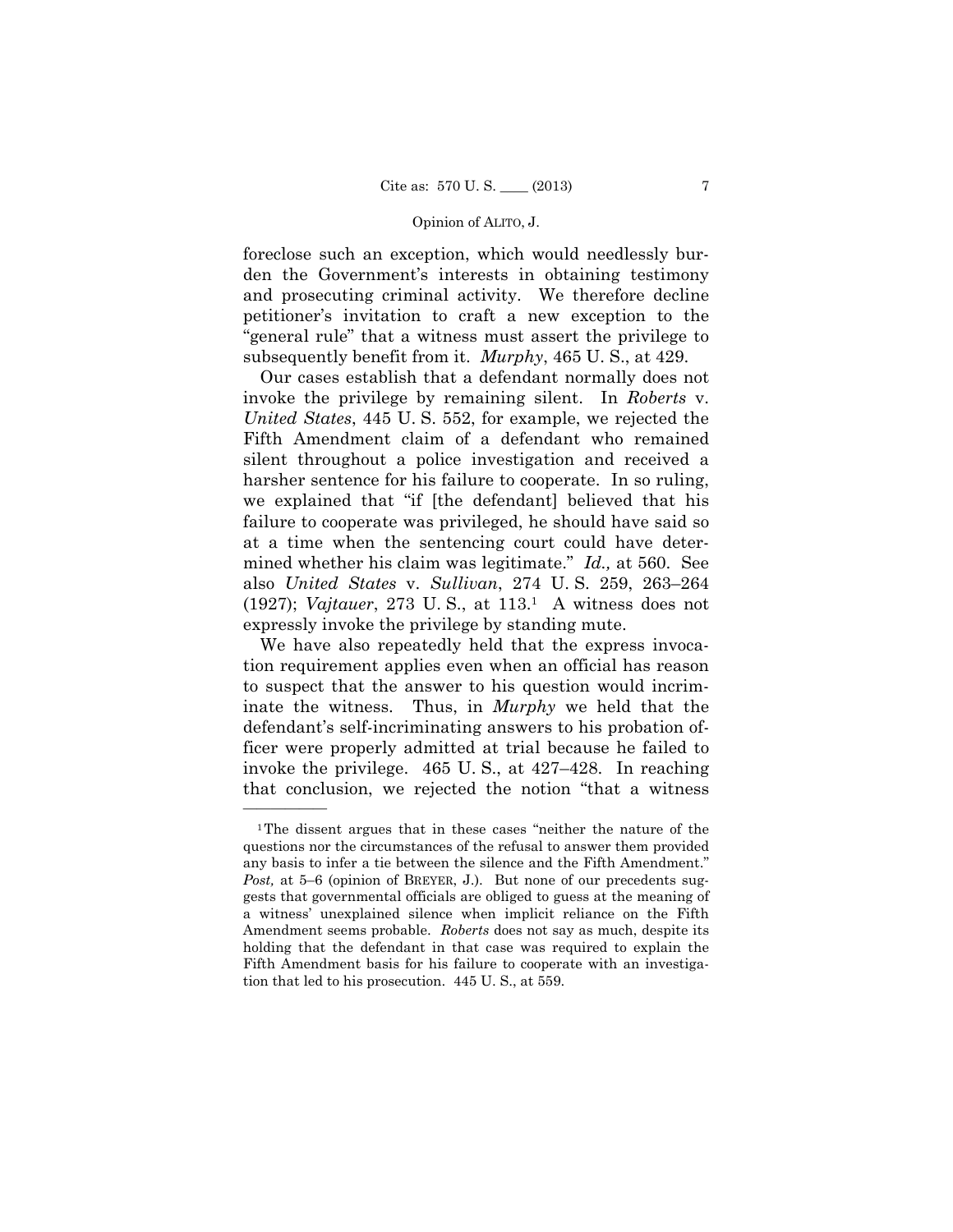foreclose such an exception, which would needlessly burden the Government's interests in obtaining testimony and prosecuting criminal activity. We therefore decline petitioner's invitation to craft a new exception to the "general rule" that a witness must assert the privilege to subsequently benefit from it. *Murphy*, 465 U. S., at 429.

Our cases establish that a defendant normally does not invoke the privilege by remaining silent. In *Roberts* v. *United States*, 445 U. S. 552, for example, we rejected the Fifth Amendment claim of a defendant who remained silent throughout a police investigation and received a harsher sentence for his failure to cooperate. In so ruling, we explained that "if [the defendant] believed that his failure to cooperate was privileged, he should have said so at a time when the sentencing court could have determined whether his claim was legitimate." *Id.,* at 560. See also *United States* v. *Sullivan*, 274 U. S. 259, 263–264 (1927); *Vajtauer*, 273 U. S., at 113.1 A witness does not expressly invoke the privilege by standing mute.

We have also repeatedly held that the express invocation requirement applies even when an official has reason to suspect that the answer to his question would incriminate the witness. Thus, in *Murphy* we held that the defendant's self-incriminating answers to his probation officer were properly admitted at trial because he failed to invoke the privilege. 465 U. S., at 427–428. In reaching that conclusion, we rejected the notion "that a witness

<sup>1</sup>The dissent argues that in these cases "neither the nature of the questions nor the circumstances of the refusal to answer them provided any basis to infer a tie between the silence and the Fifth Amendment." *Post,* at 5–6 (opinion of BREYER, J.). But none of our precedents suggests that governmental officials are obliged to guess at the meaning of a witness' unexplained silence when implicit reliance on the Fifth Amendment seems probable. *Roberts* does not say as much, despite its holding that the defendant in that case was required to explain the Fifth Amendment basis for his failure to cooperate with an investigation that led to his prosecution. 445 U. S., at 559.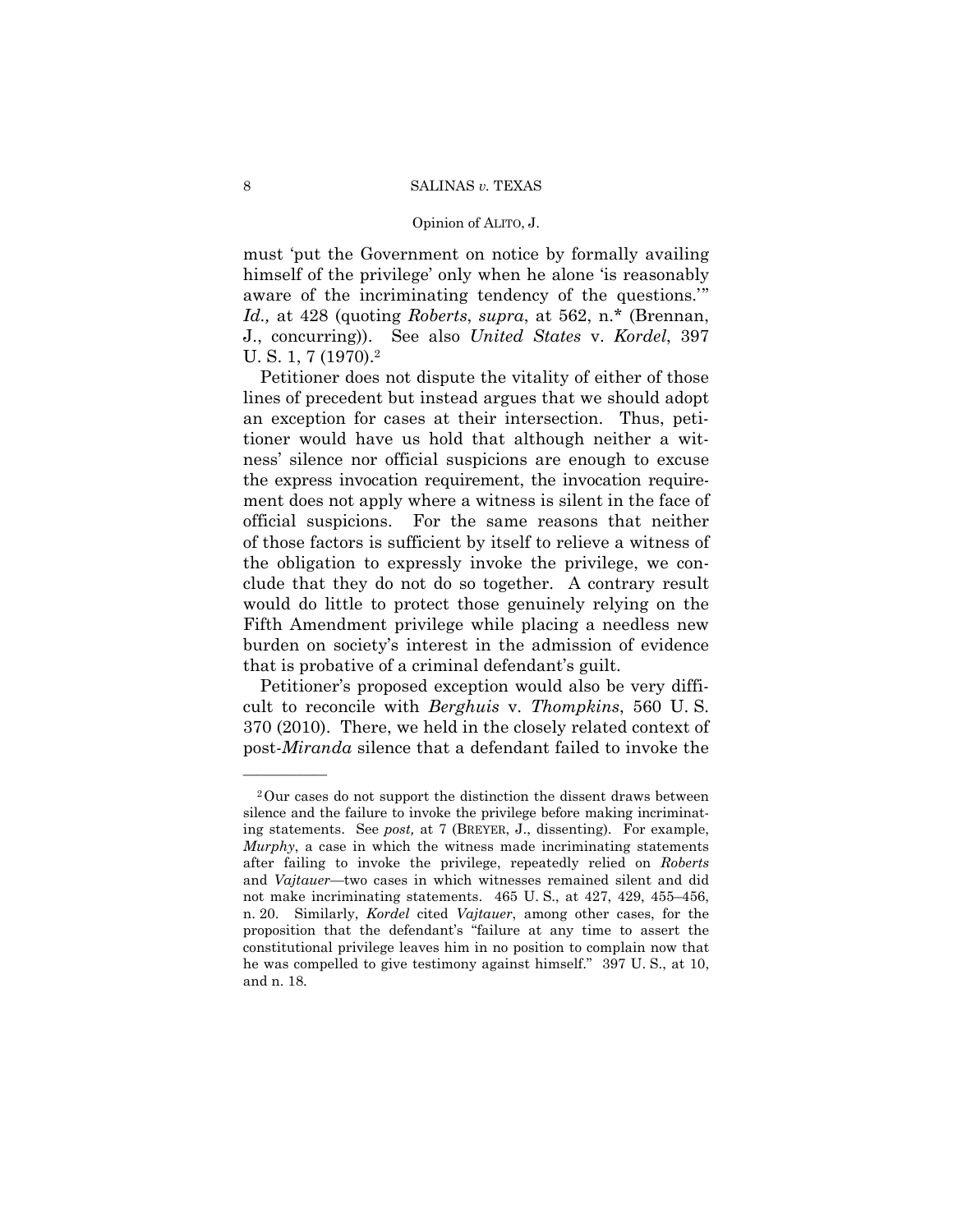### Opinion of ALITO, J.

must 'put the Government on notice by formally availing himself of the privilege' only when he alone 'is reasonably aware of the incriminating tendency of the questions.'" *Id.,* at 428 (quoting *Roberts*, *supra*, at 562, n.\* (Brennan, J., concurring)). See also *United States* v. *Kordel*, 397 U. S. 1, 7 (1970).2

Petitioner does not dispute the vitality of either of those lines of precedent but instead argues that we should adopt an exception for cases at their intersection. Thus, petitioner would have us hold that although neither a witness' silence nor official suspicions are enough to excuse the express invocation requirement, the invocation requirement does not apply where a witness is silent in the face of official suspicions. For the same reasons that neither of those factors is sufficient by itself to relieve a witness of the obligation to expressly invoke the privilege, we conclude that they do not do so together. A contrary result would do little to protect those genuinely relying on the Fifth Amendment privilege while placing a needless new burden on society's interest in the admission of evidence that is probative of a criminal defendant's guilt.

Petitioner's proposed exception would also be very difficult to reconcile with *Berghuis* v. *Thompkins*, 560 U. S. 370 (2010). There, we held in the closely related context of post-*Miranda* silence that a defendant failed to invoke the

<sup>2</sup>Our cases do not support the distinction the dissent draws between silence and the failure to invoke the privilege before making incriminating statements. See *post,* at 7 (BREYER, J., dissenting). For example, *Murphy*, a case in which the witness made incriminating statements after failing to invoke the privilege, repeatedly relied on *Roberts*  and *Vajtauer*—two cases in which witnesses remained silent and did not make incriminating statements. 465 U. S., at 427, 429, 455–456, n. 20. Similarly, *Kordel* cited *Vajtauer*, among other cases, for the proposition that the defendant's "failure at any time to assert the constitutional privilege leaves him in no position to complain now that he was compelled to give testimony against himself." 397 U. S., at 10, and n. 18.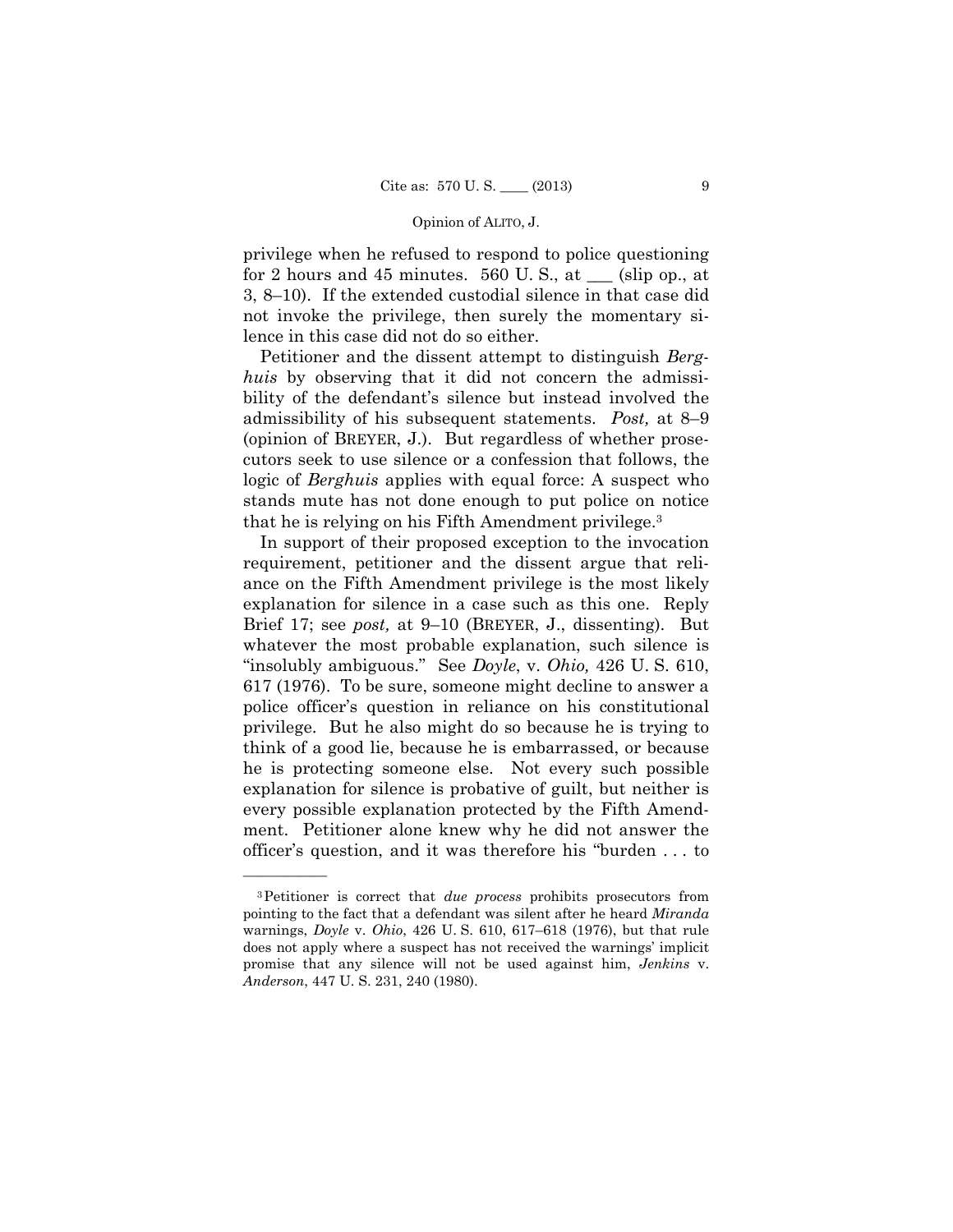privilege when he refused to respond to police questioning for 2 hours and 45 minutes. 560 U.S., at  $\_\_$  (slip op., at 3, 8–10). If the extended custodial silence in that case did not invoke the privilege, then surely the momentary silence in this case did not do so either.

Petitioner and the dissent attempt to distinguish *Berghuis* by observing that it did not concern the admissibility of the defendant's silence but instead involved the admissibility of his subsequent statements. *Post,* at 8–9 (opinion of BREYER, J.). But regardless of whether prosecutors seek to use silence or a confession that follows, the logic of *Berghuis* applies with equal force: A suspect who stands mute has not done enough to put police on notice that he is relying on his Fifth Amendment privilege.3

In support of their proposed exception to the invocation requirement, petitioner and the dissent argue that reliance on the Fifth Amendment privilege is the most likely explanation for silence in a case such as this one. Reply Brief 17; see *post,* at 9–10 (BREYER, J., dissenting). But whatever the most probable explanation, such silence is "insolubly ambiguous." See *Doyle*, v. *Ohio,* 426 U. S. 610, 617 (1976). To be sure, someone might decline to answer a police officer's question in reliance on his constitutional privilege. But he also might do so because he is trying to think of a good lie, because he is embarrassed, or because he is protecting someone else. Not every such possible explanation for silence is probative of guilt, but neither is every possible explanation protected by the Fifth Amendment. Petitioner alone knew why he did not answer the officer's question, and it was therefore his "burden . . . to

<sup>3</sup>Petitioner is correct that *due process* prohibits prosecutors from pointing to the fact that a defendant was silent after he heard *Miranda*  warnings, *Doyle* v. *Ohio*, 426 U. S. 610, 617–618 (1976), but that rule does not apply where a suspect has not received the warnings' implicit promise that any silence will not be used against him, *Jenkins* v. *Anderson*, 447 U. S. 231, 240 (1980).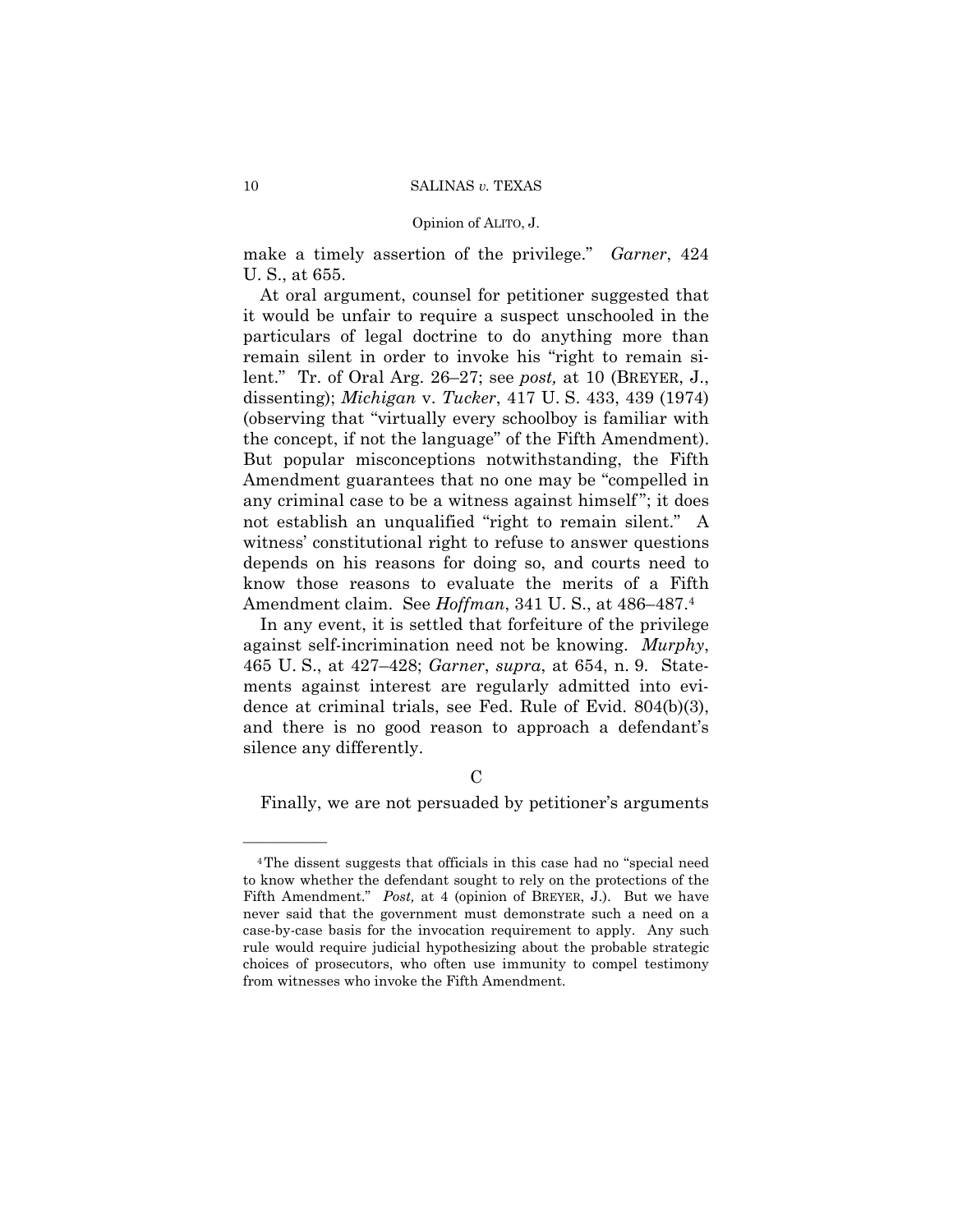make a timely assertion of the privilege." *Garner*, 424 U. S., at 655.

At oral argument, counsel for petitioner suggested that it would be unfair to require a suspect unschooled in the particulars of legal doctrine to do anything more than remain silent in order to invoke his "right to remain silent." Tr. of Oral Arg. 26–27; see *post,* at 10 (BREYER, J., dissenting); *Michigan* v. *Tucker*, 417 U. S. 433, 439 (1974) (observing that "virtually every schoolboy is familiar with the concept, if not the language" of the Fifth Amendment). But popular misconceptions notwithstanding, the Fifth Amendment guarantees that no one may be "compelled in any criminal case to be a witness against himself"; it does not establish an unqualified "right to remain silent." A witness' constitutional right to refuse to answer questions depends on his reasons for doing so, and courts need to know those reasons to evaluate the merits of a Fifth Amendment claim. See *Hoffman*, 341 U. S., at 486–487.4

In any event, it is settled that forfeiture of the privilege against self-incrimination need not be knowing. *Murphy*, 465 U. S., at 427–428; *Garner*, *supra*, at 654, n. 9. Statements against interest are regularly admitted into evidence at criminal trials, see Fed. Rule of Evid. 804(b)(3), and there is no good reason to approach a defendant's silence any differently.

Finally, we are not persuaded by petitioner's arguments

<sup>4</sup>The dissent suggests that officials in this case had no "special need to know whether the defendant sought to rely on the protections of the Fifth Amendment." *Post,* at 4 (opinion of BREYER, J.). But we have never said that the government must demonstrate such a need on a case-by-case basis for the invocation requirement to apply. Any such rule would require judicial hypothesizing about the probable strategic choices of prosecutors, who often use immunity to compel testimony from witnesses who invoke the Fifth Amendment.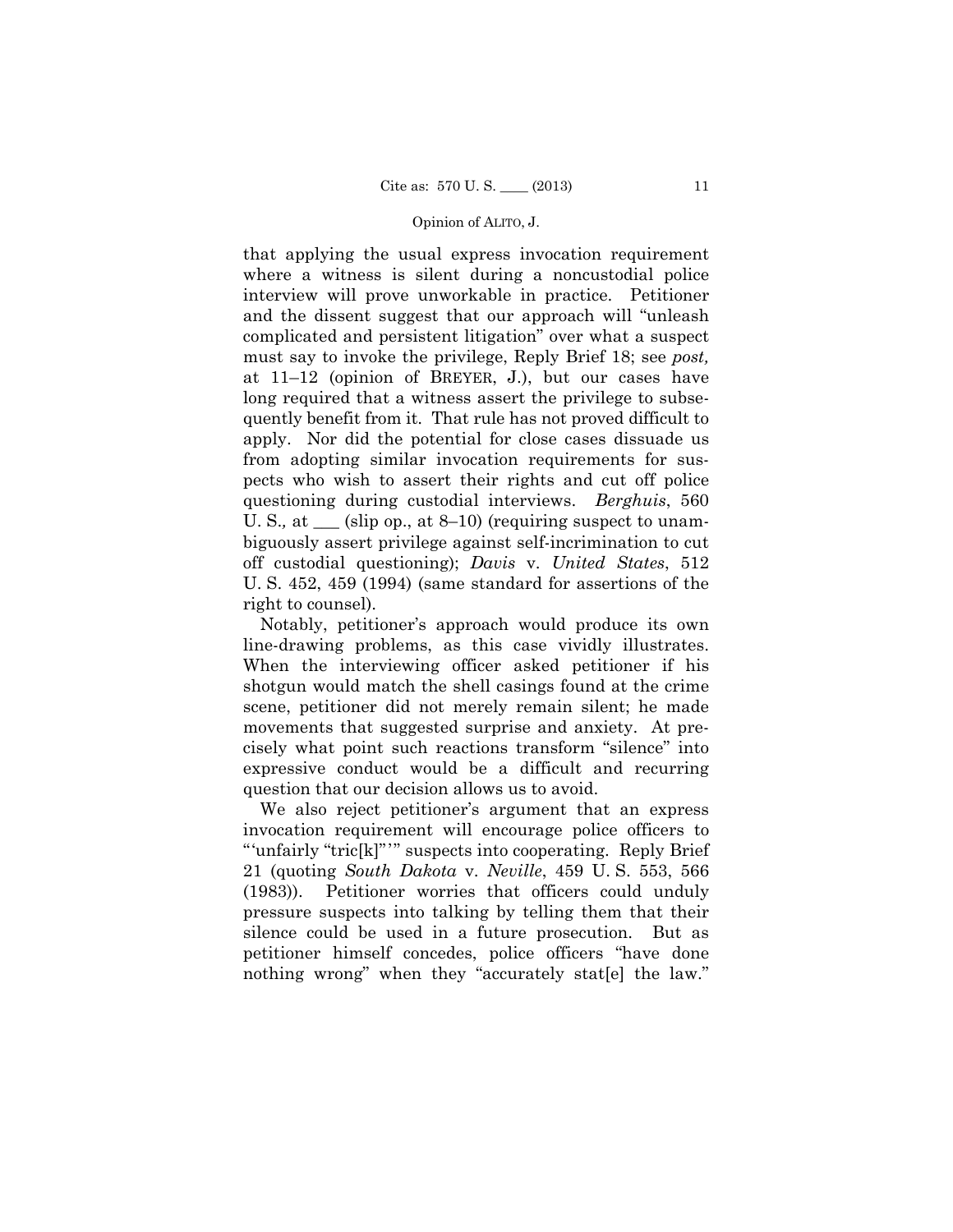quently benefit from it. That rule has not proved difficult to that applying the usual express invocation requirement where a witness is silent during a noncustodial police interview will prove unworkable in practice. Petitioner and the dissent suggest that our approach will "unleash complicated and persistent litigation" over what a suspect must say to invoke the privilege, Reply Brief 18; see *post,*  at 11–12 (opinion of BREYER, J.), but our cases have long required that a witness assert the privilege to subseapply. Nor did the potential for close cases dissuade us from adopting similar invocation requirements for suspects who wish to assert their rights and cut off police questioning during custodial interviews. *Berghuis*, 560 U. S., at <u>each</u> (slip op., at 8–10) (requiring suspect to unambiguously assert privilege against self-incrimination to cut off custodial questioning); *Davis* v. *United States*, 512 U. S. 452, 459 (1994) (same standard for assertions of the right to counsel).

Notably, petitioner's approach would produce its own line-drawing problems, as this case vividly illustrates. When the interviewing officer asked petitioner if his shotgun would match the shell casings found at the crime scene, petitioner did not merely remain silent; he made movements that suggested surprise and anxiety. At precisely what point such reactions transform "silence" into expressive conduct would be a difficult and recurring question that our decision allows us to avoid.

 "'unfairly "tric[k]"'" suspects into cooperating. Reply Brief We also reject petitioner's argument that an express invocation requirement will encourage police officers to 21 (quoting *South Dakota* v. *Neville*, 459 U. S. 553, 566 (1983)). Petitioner worries that officers could unduly pressure suspects into talking by telling them that their silence could be used in a future prosecution. But as petitioner himself concedes, police officers "have done nothing wrong" when they "accurately stat[e] the law."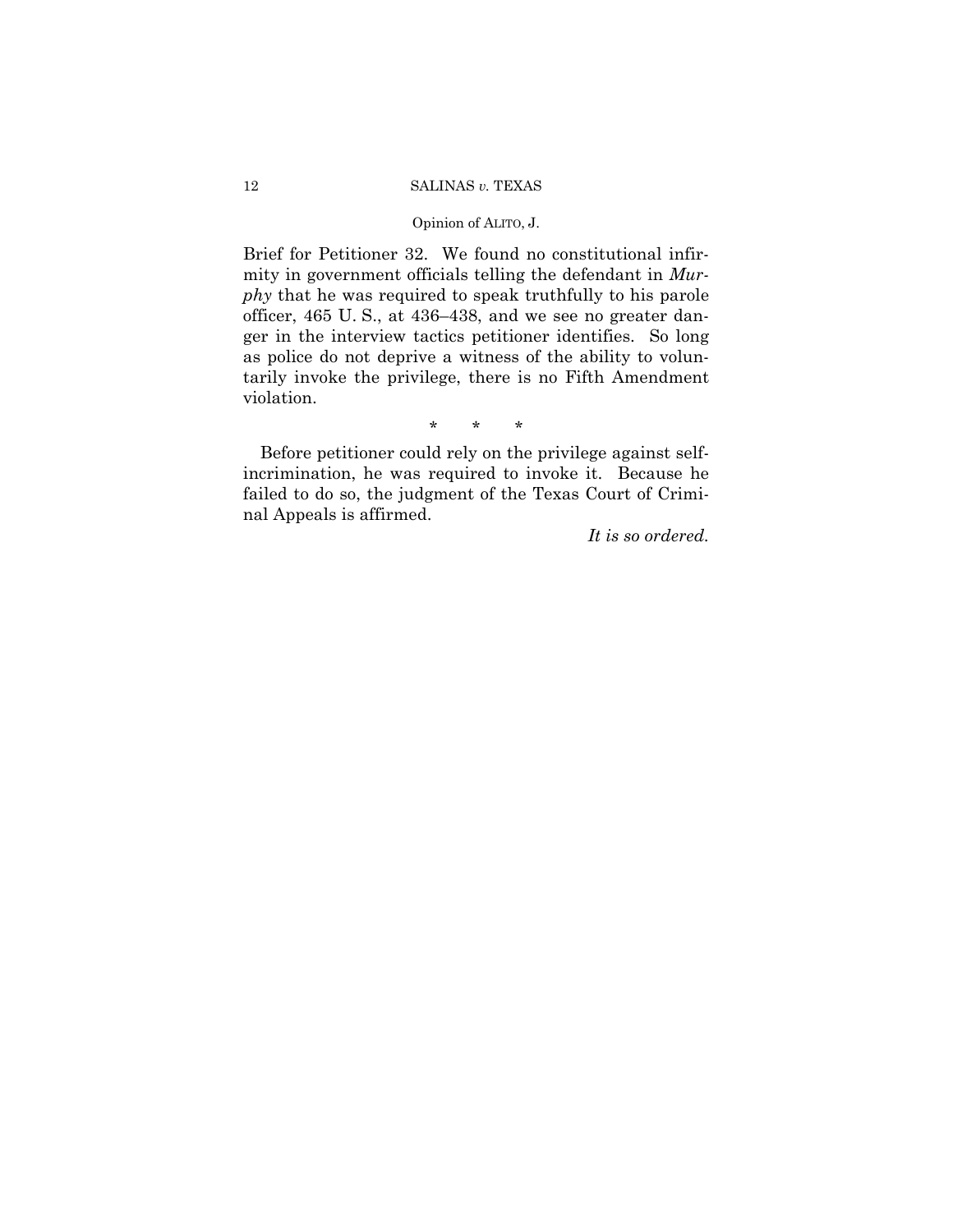## Opinion of ALITO, J.

Brief for Petitioner 32. We found no constitutional infirmity in government officials telling the defendant in *Murphy* that he was required to speak truthfully to his parole officer, 465 U. S., at 436–438, and we see no greater danger in the interview tactics petitioner identifies. So long as police do not deprive a witness of the ability to voluntarily invoke the privilege, there is no Fifth Amendment violation.

\* \* \*

Before petitioner could rely on the privilege against selfincrimination, he was required to invoke it. Because he failed to do so, the judgment of the Texas Court of Criminal Appeals is affirmed.

*It is so ordered.*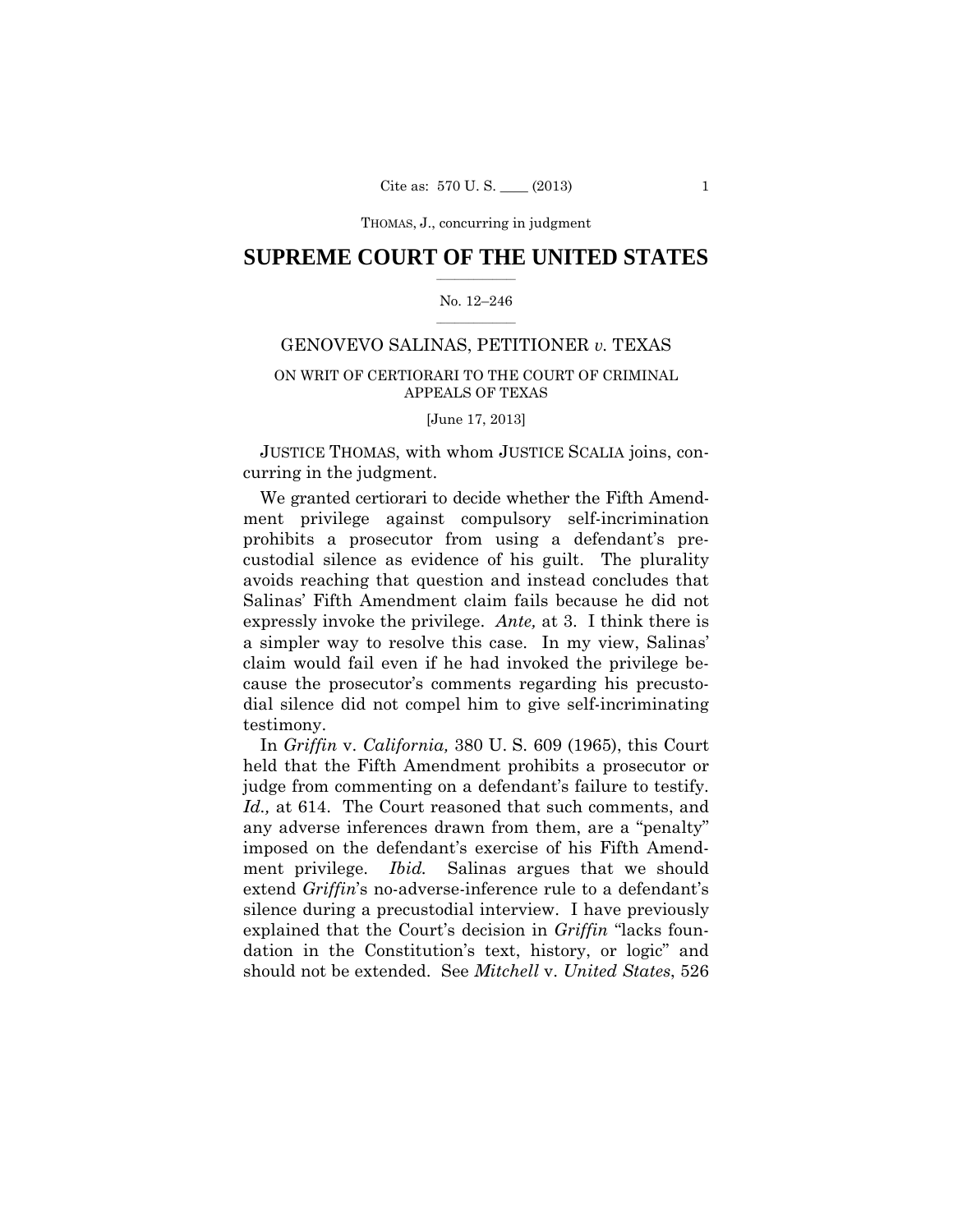THOMAS, J., concurring in judgment

# $\frac{1}{2}$  , where  $\frac{1}{2}$ **SUPREME COURT OF THE UNITED STATES**

### $\frac{1}{2}$  ,  $\frac{1}{2}$  ,  $\frac{1}{2}$  ,  $\frac{1}{2}$  ,  $\frac{1}{2}$  ,  $\frac{1}{2}$ No. 12–246

# GENOVEVO SALINAS, PETITIONER *v.* TEXAS

# ON WRIT OF CERTIORARI TO THE COURT OF CRIMINAL APPEALS OF TEXAS

## [June 17, 2013]

JUSTICE THOMAS, with whom JUSTICE SCALIA joins, concurring in the judgment.

We granted certiorari to decide whether the Fifth Amendment privilege against compulsory self-incrimination prohibits a prosecutor from using a defendant's precustodial silence as evidence of his guilt. The plurality avoids reaching that question and instead concludes that Salinas' Fifth Amendment claim fails because he did not expressly invoke the privilege. *Ante,* at 3. I think there is a simpler way to resolve this case. In my view, Salinas' claim would fail even if he had invoked the privilege because the prosecutor's comments regarding his precustodial silence did not compel him to give self-incriminating testimony.

 judge from commenting on a defendant's failure to testify. In *Griffin* v. *California,* 380 U. S. 609 (1965), this Court held that the Fifth Amendment prohibits a prosecutor or *Id.,* at 614. The Court reasoned that such comments, and any adverse inferences drawn from them, are a "penalty" imposed on the defendant's exercise of his Fifth Amendment privilege. *Ibid.* Salinas argues that we should extend *Griffin*'s no-adverse-inference rule to a defendant's silence during a precustodial interview. I have previously explained that the Court's decision in *Griffin* "lacks foundation in the Constitution's text, history, or logic" and should not be extended. See *Mitchell* v. *United States*, 526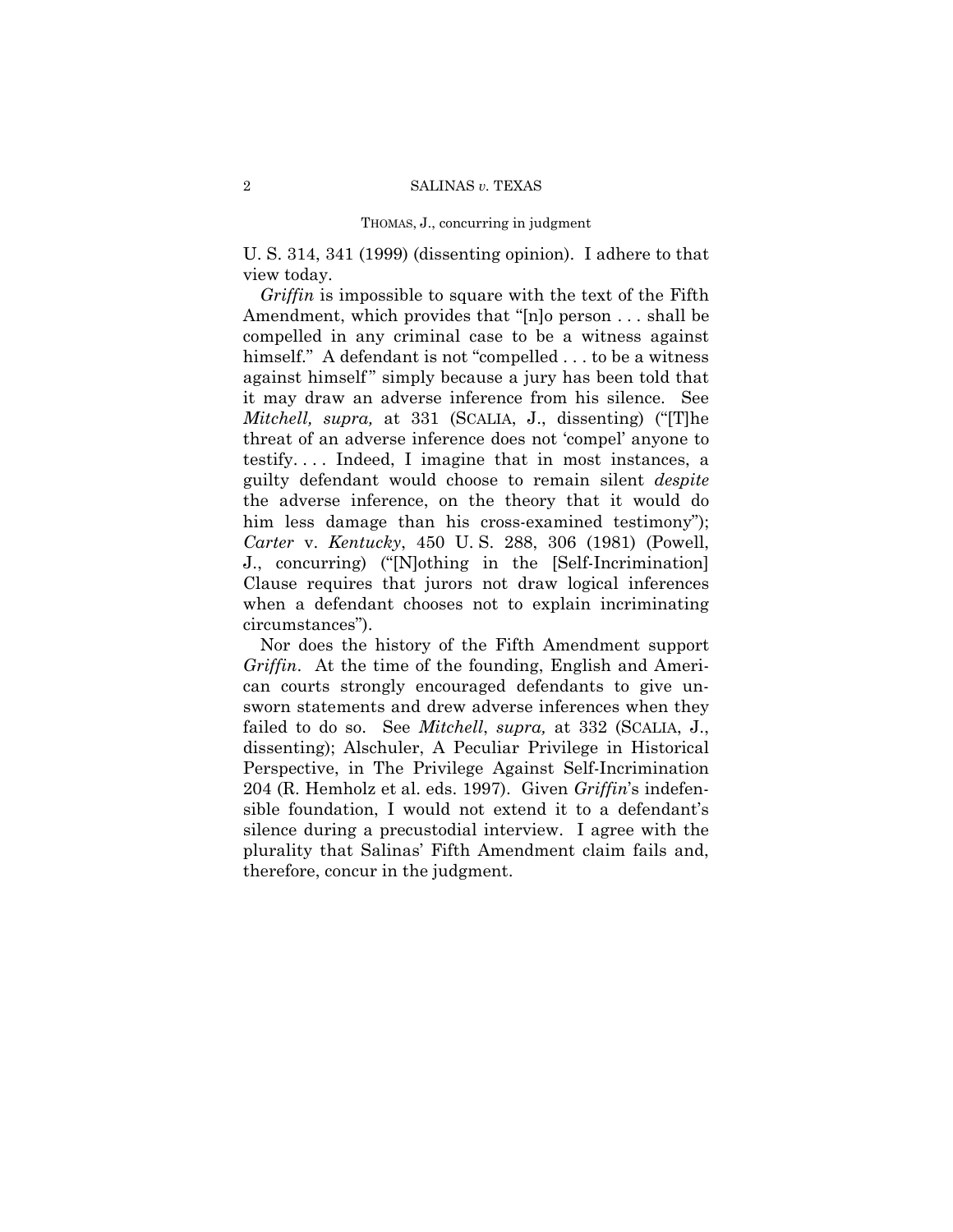#### THOMAS, J., concurring in judgment

U. S. 314, 341 (1999) (dissenting opinion). I adhere to that view today.

*Griffin* is impossible to square with the text of the Fifth Amendment, which provides that "[n]o person . . . shall be compelled in any criminal case to be a witness against himself." A defendant is not "compelled . . . to be a witness against himself" simply because a jury has been told that it may draw an adverse inference from his silence. See *Mitchell, supra,* at 331 (SCALIA, J., dissenting) ("[T]he threat of an adverse inference does not 'compel' anyone to testify. . . . Indeed, I imagine that in most instances, a guilty defendant would choose to remain silent *despite* the adverse inference, on the theory that it would do him less damage than his cross-examined testimony"); *Carter* v. *Kentucky*, 450 U. S. 288, 306 (1981) (Powell, J., concurring) ("[N]othing in the [Self-Incrimination] Clause requires that jurors not draw logical inferences when a defendant chooses not to explain incriminating circumstances").

Nor does the history of the Fifth Amendment support *Griffin*. At the time of the founding, English and American courts strongly encouraged defendants to give unsworn statements and drew adverse inferences when they failed to do so. See *Mitchell*, *supra,* at 332 (SCALIA, J., dissenting); Alschuler, A Peculiar Privilege in Historical Perspective, in The Privilege Against Self-Incrimination 204 (R. Hemholz et al. eds. 1997). Given *Griffin*'s indefensible foundation, I would not extend it to a defendant's silence during a precustodial interview. I agree with the plurality that Salinas' Fifth Amendment claim fails and, therefore, concur in the judgment.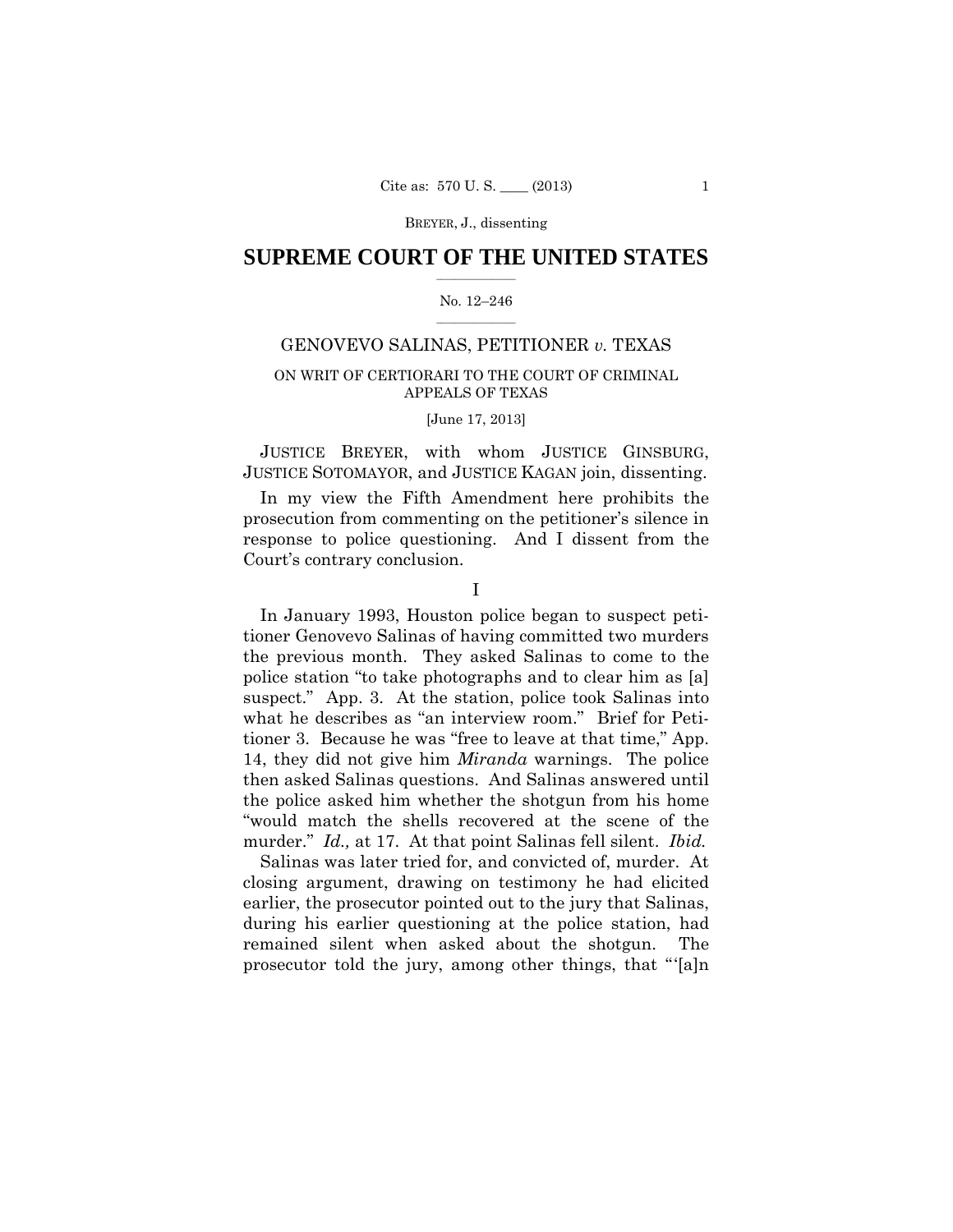### $\frac{1}{2}$  , where  $\frac{1}{2}$ **SUPREME COURT OF THE UNITED STATES**

### $\frac{1}{2}$  ,  $\frac{1}{2}$  ,  $\frac{1}{2}$  ,  $\frac{1}{2}$  ,  $\frac{1}{2}$  ,  $\frac{1}{2}$ No. 12–246

# GENOVEVO SALINAS, PETITIONER *v.* TEXAS

# ON WRIT OF CERTIORARI TO THE COURT OF CRIMINAL APPEALS OF TEXAS

## [June 17, 2013]

JUSTICE BREYER, with whom JUSTICE GINSBURG, JUSTICE SOTOMAYOR, and JUSTICE KAGAN join, dissenting.

In my view the Fifth Amendment here prohibits the prosecution from commenting on the petitioner's silence in response to police questioning. And I dissent from the Court's contrary conclusion.

I

In January 1993, Houston police began to suspect petitioner Genovevo Salinas of having committed two murders the previous month. They asked Salinas to come to the police station "to take photographs and to clear him as [a] suspect." App. 3. At the station, police took Salinas into what he describes as "an interview room." Brief for Petitioner 3. Because he was "free to leave at that time," App. 14, they did not give him *Miranda* warnings. The police then asked Salinas questions. And Salinas answered until the police asked him whether the shotgun from his home "would match the shells recovered at the scene of the murder." *Id.,* at 17. At that point Salinas fell silent. *Ibid.* 

Salinas was later tried for, and convicted of, murder. At closing argument, drawing on testimony he had elicited earlier, the prosecutor pointed out to the jury that Salinas, during his earlier questioning at the police station, had remained silent when asked about the shotgun. The prosecutor told the jury, among other things, that " '[a]n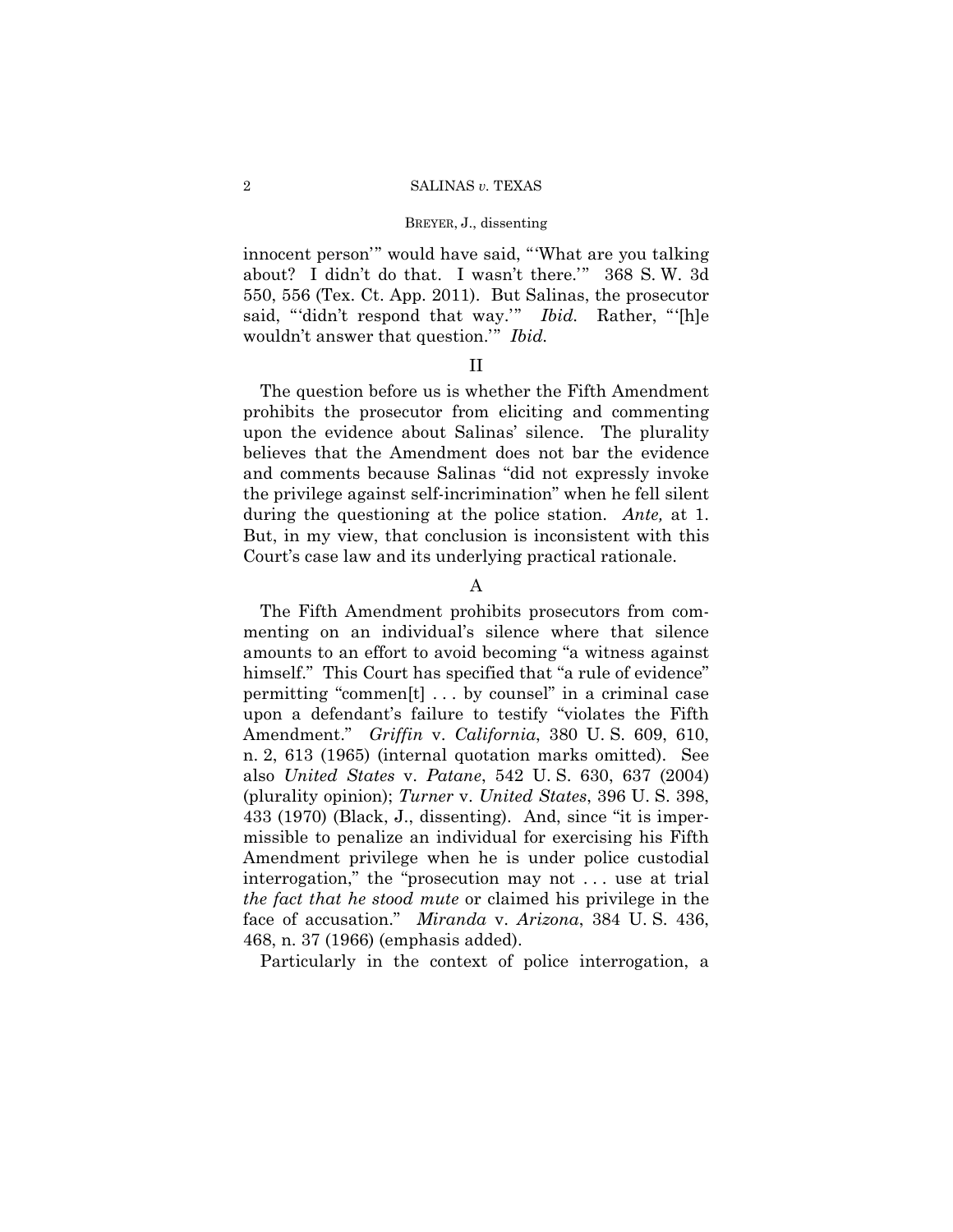innocent person'" would have said, "'What are you talking about? I didn't do that. I wasn't there.'" 368 S. W. 3d 550, 556 (Tex. Ct. App. 2011). But Salinas, the prosecutor said, "'didn't respond that way.'" *Ibid.* Rather, "'[h]e wouldn't answer that question.'" *Ibid.* 

# II

The question before us is whether the Fifth Amendment prohibits the prosecutor from eliciting and commenting upon the evidence about Salinas' silence. The plurality believes that the Amendment does not bar the evidence and comments because Salinas "did not expressly invoke the privilege against self-incrimination" when he fell silent during the questioning at the police station. *Ante*, at 1. But, in my view, that conclusion is inconsistent with this Court's case law and its underlying practical rationale.

# A

The Fifth Amendment prohibits prosecutors from commenting on an individual's silence where that silence amounts to an effort to avoid becoming "a witness against himself." This Court has specified that "a rule of evidence" permitting "commen[t] . . . by counsel" in a criminal case upon a defendant's failure to testify "violates the Fifth Amendment." *Griffin* v. *California*, 380 U. S. 609, 610, n. 2, 613 (1965) (internal quotation marks omitted). See also *United States* v. *Patane*, 542 U. S. 630, 637 (2004) (plurality opinion); *Turner* v. *United States*, 396 U. S. 398, 433 (1970) (Black, J., dissenting). And, since "it is impermissible to penalize an individual for exercising his Fifth Amendment privilege when he is under police custodial interrogation," the "prosecution may not . . . use at trial *the fact that he stood mute* or claimed his privilege in the face of accusation." *Miranda* v. *Arizona*, 384 U. S. 436, 468, n. 37 (1966) (emphasis added).

Particularly in the context of police interrogation, a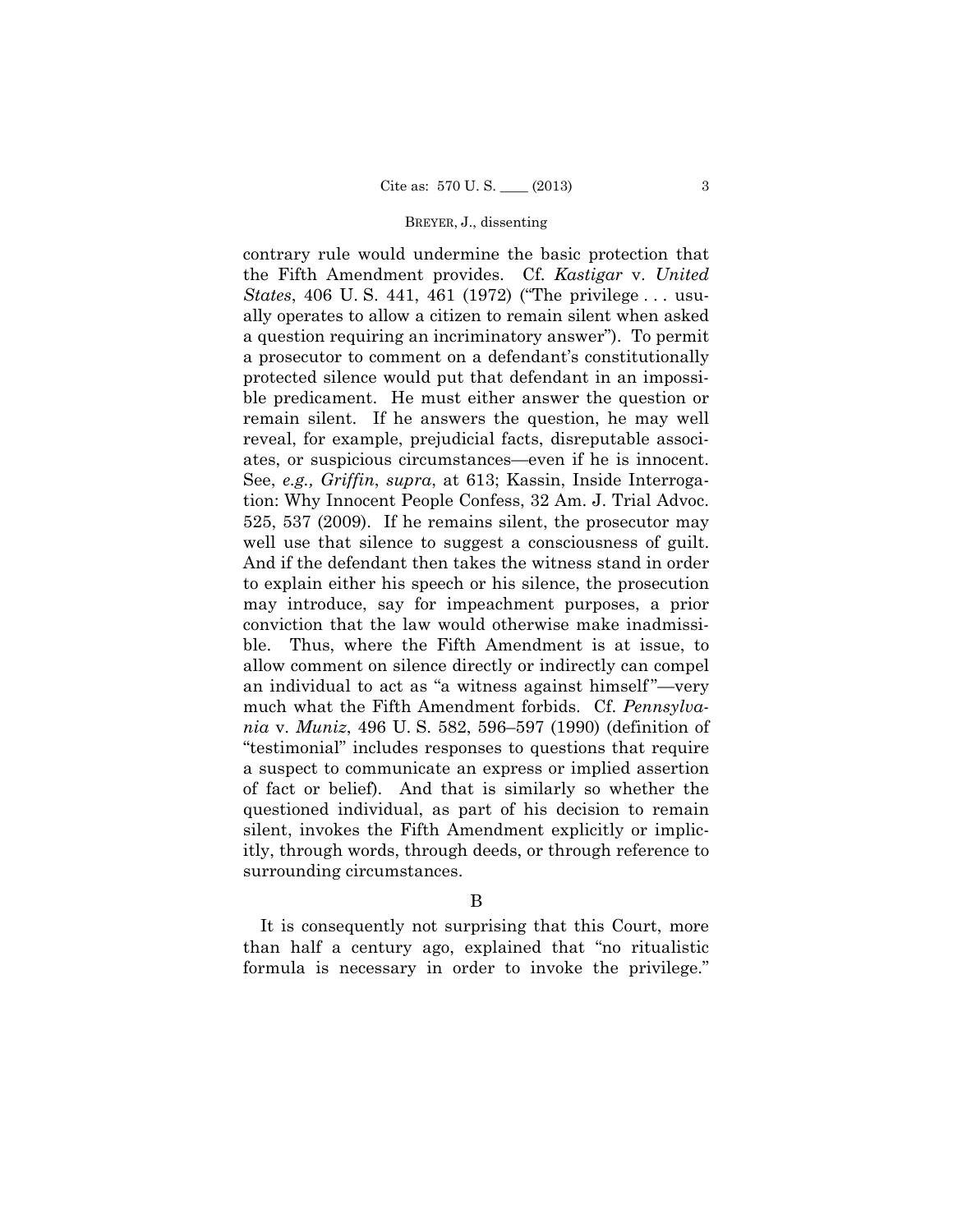contrary rule would undermine the basic protection that the Fifth Amendment provides. Cf. *Kastigar* v. *United States*, 406 U. S. 441, 461 (1972) ("The privilege . . . usually operates to allow a citizen to remain silent when asked a question requiring an incriminatory answer"). To permit a prosecutor to comment on a defendant's constitutionally protected silence would put that defendant in an impossible predicament. He must either answer the question or remain silent. If he answers the question, he may well reveal, for example, prejudicial facts, disreputable associates, or suspicious circumstances—even if he is innocent. See, *e.g., Griffin*, *supra*, at 613; Kassin, Inside Interrogation: Why Innocent People Confess, 32 Am. J. Trial Advoc. 525, 537 (2009). If he remains silent, the prosecutor may well use that silence to suggest a consciousness of guilt. And if the defendant then takes the witness stand in order to explain either his speech or his silence, the prosecution may introduce, say for impeachment purposes, a prior conviction that the law would otherwise make inadmissible. Thus, where the Fifth Amendment is at issue, to allow comment on silence directly or indirectly can compel an individual to act as "a witness against himself"—very much what the Fifth Amendment forbids. Cf. *Pennsylvania* v. *Muniz*, 496 U. S. 582, 596–597 (1990) (definition of "testimonial" includes responses to questions that require a suspect to communicate an express or implied assertion of fact or belief). And that is similarly so whether the questioned individual, as part of his decision to remain silent, invokes the Fifth Amendment explicitly or implicitly, through words, through deeds, or through reference to surrounding circumstances.

B

It is consequently not surprising that this Court, more than half a century ago, explained that "no ritualistic formula is necessary in order to invoke the privilege."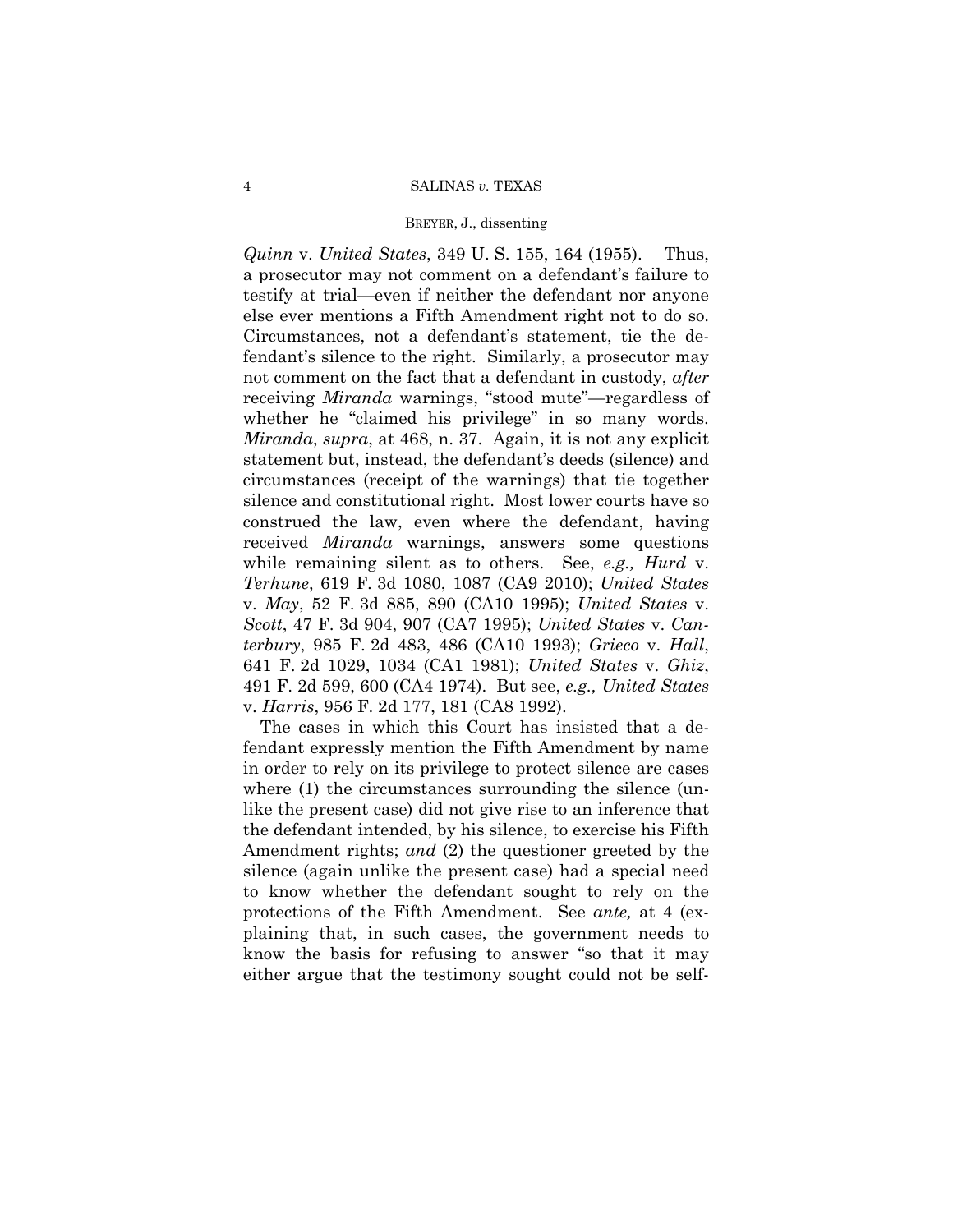### BREYER, J., dissenting

*Quinn* v. *United States*, 349 U. S. 155, 164 (1955). Thus, a prosecutor may not comment on a defendant's failure to testify at trial—even if neither the defendant nor anyone else ever mentions a Fifth Amendment right not to do so. Circumstances, not a defendant's statement, tie the defendant's silence to the right. Similarly, a prosecutor may not comment on the fact that a defendant in custody, *after*  receiving *Miranda* warnings, "stood mute"—regardless of whether he "claimed his privilege" in so many words. *Miranda*, *supra*, at 468, n. 37. Again, it is not any explicit statement but, instead, the defendant's deeds (silence) and circumstances (receipt of the warnings) that tie together silence and constitutional right. Most lower courts have so construed the law, even where the defendant, having received *Miranda* warnings, answers some questions while remaining silent as to others. See, *e.g., Hurd* v. *Terhune*, 619 F. 3d 1080, 1087 (CA9 2010); *United States*  v. *May*, 52 F. 3d 885, 890 (CA10 1995); *United States* v. *Scott*, 47 F. 3d 904, 907 (CA7 1995); *United States* v. *Canterbury*, 985 F. 2d 483, 486 (CA10 1993); *Grieco* v. *Hall*, 641 F. 2d 1029, 1034 (CA1 1981); *United States* v. *Ghiz*, 491 F. 2d 599, 600 (CA4 1974). But see, *e.g., United States*  v. *Harris*, 956 F. 2d 177, 181 (CA8 1992).

The cases in which this Court has insisted that a defendant expressly mention the Fifth Amendment by name in order to rely on its privilege to protect silence are cases where (1) the circumstances surrounding the silence (unlike the present case) did not give rise to an inference that the defendant intended, by his silence, to exercise his Fifth Amendment rights; *and* (2) the questioner greeted by the silence (again unlike the present case) had a special need to know whether the defendant sought to rely on the protections of the Fifth Amendment. See *ante,* at 4 (explaining that, in such cases, the government needs to know the basis for refusing to answer "so that it may either argue that the testimony sought could not be self-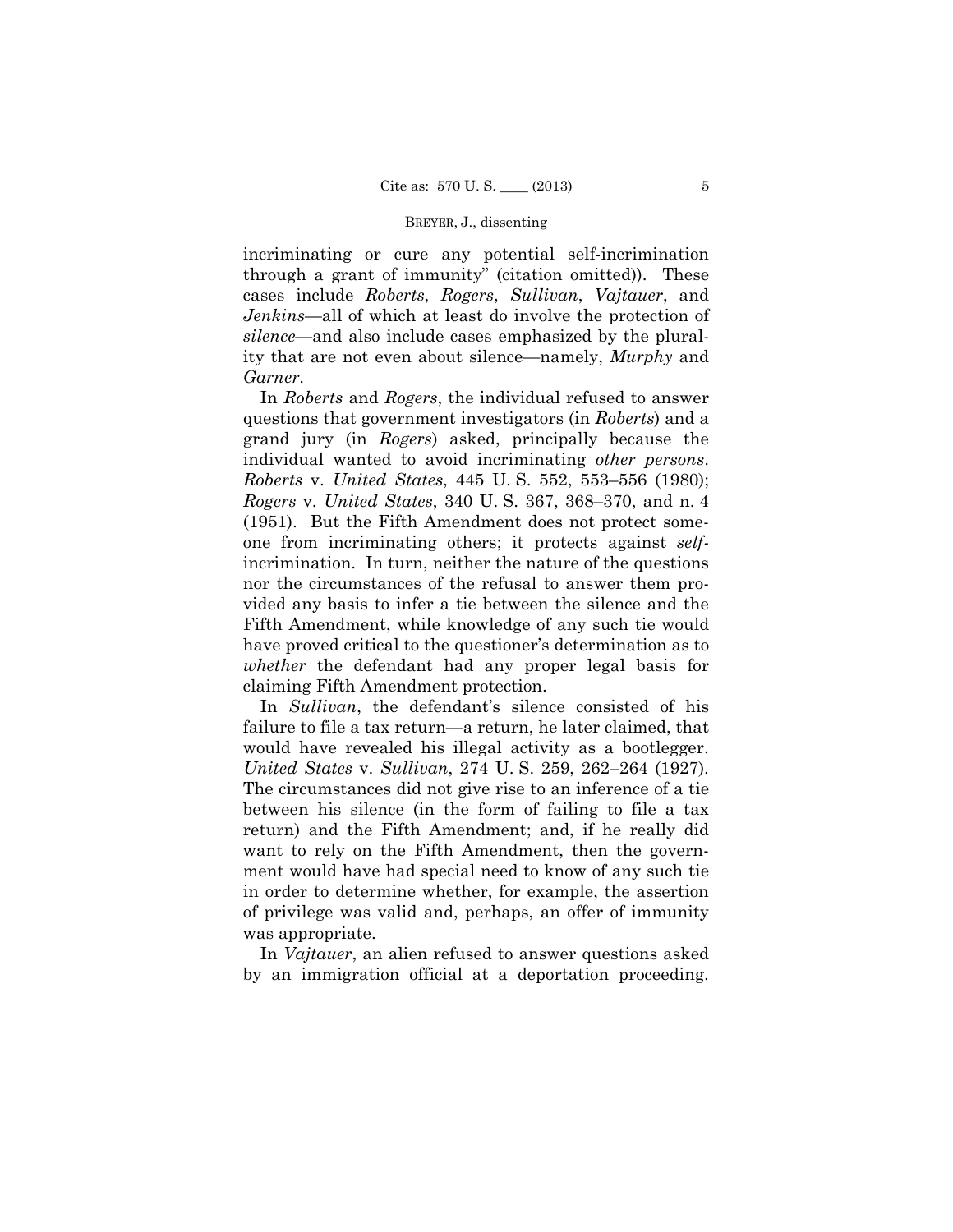incriminating or cure any potential self-incrimination through a grant of immunity" (citation omitted)). These cases include *Roberts*, *Rogers*, *Sullivan*, *Vajtauer*, and *Jenkins*—all of which at least do involve the protection of *silence*—and also include cases emphasized by the plurality that are not even about silence—namely, *Murphy* and *Garner*.

In *Roberts* and *Rogers*, the individual refused to answer questions that government investigators (in *Roberts*) and a grand jury (in *Rogers*) asked, principally because the individual wanted to avoid incriminating *other persons*. *Roberts* v. *United States*, 445 U. S. 552, 553–556 (1980); *Rogers* v. *United States*, 340 U. S. 367, 368–370, and n. 4 (1951). But the Fifth Amendment does not protect someone from incriminating others; it protects against *self*incrimination. In turn, neither the nature of the questions nor the circumstances of the refusal to answer them provided any basis to infer a tie between the silence and the Fifth Amendment, while knowledge of any such tie would have proved critical to the questioner's determination as to *whether* the defendant had any proper legal basis for claiming Fifth Amendment protection.

 would have revealed his illegal activity as a bootlegger. In *Sullivan*, the defendant's silence consisted of his failure to file a tax return—a return, he later claimed, that *United States* v. *Sullivan*, 274 U. S. 259, 262–264 (1927). The circumstances did not give rise to an inference of a tie between his silence (in the form of failing to file a tax return) and the Fifth Amendment; and, if he really did want to rely on the Fifth Amendment, then the government would have had special need to know of any such tie in order to determine whether, for example, the assertion of privilege was valid and, perhaps, an offer of immunity was appropriate.

In *Vajtauer*, an alien refused to answer questions asked by an immigration official at a deportation proceeding.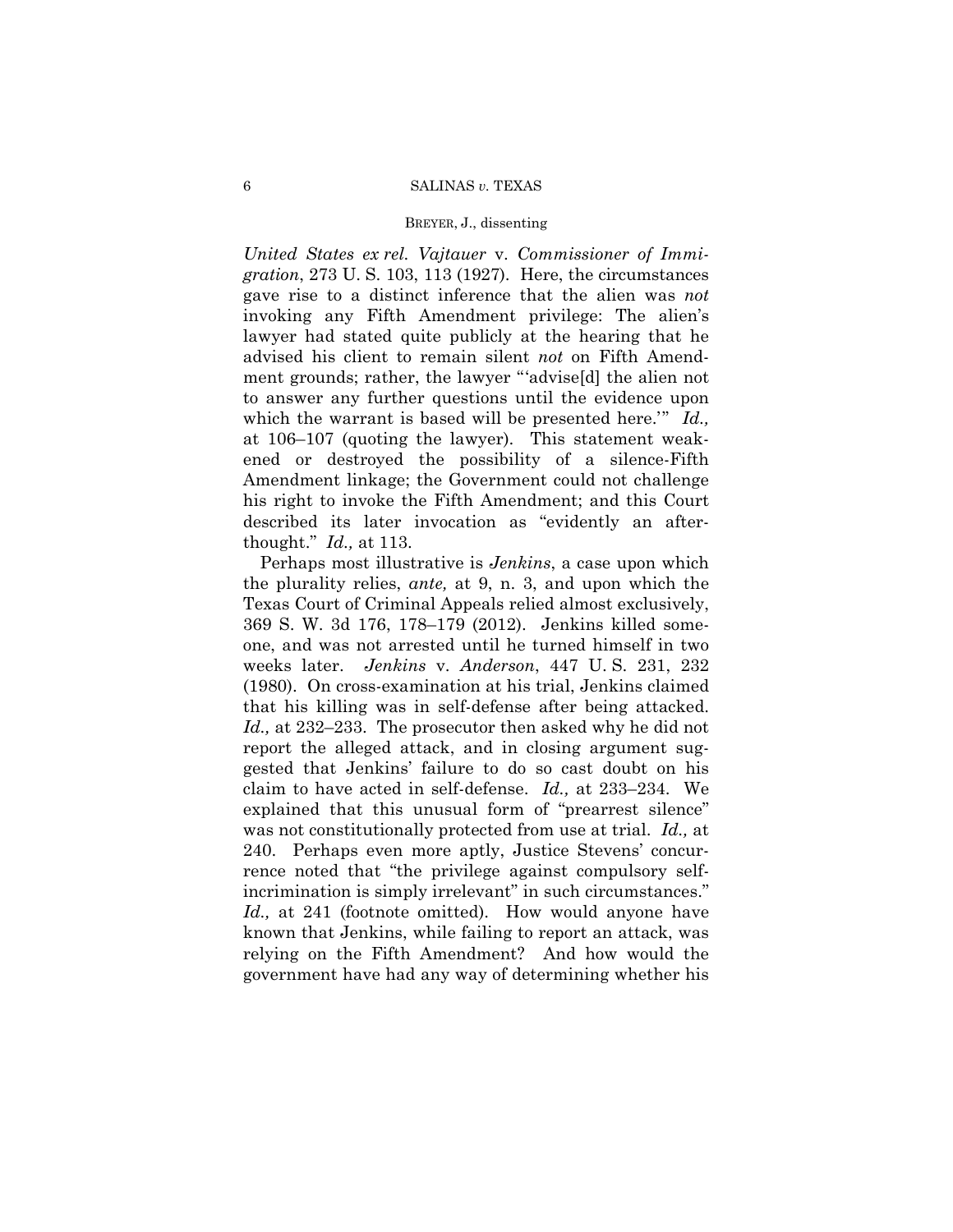### BREYER, J., dissenting

*United States ex rel. Vajtauer* v. *Commissioner of Immigration*, 273 U. S. 103, 113 (1927). Here, the circumstances gave rise to a distinct inference that the alien was *not*  invoking any Fifth Amendment privilege: The alien's lawyer had stated quite publicly at the hearing that he advised his client to remain silent *not* on Fifth Amendment grounds; rather, the lawyer "'advise[d] the alien not to answer any further questions until the evidence upon which the warrant is based will be presented here.'" *Id.,*  at 106–107 (quoting the lawyer). This statement weakened or destroyed the possibility of a silence-Fifth Amendment linkage; the Government could not challenge his right to invoke the Fifth Amendment; and this Court described its later invocation as "evidently an afterthought." *Id.,* at 113.

Perhaps most illustrative is *Jenkins*, a case upon which the plurality relies, *ante,* at 9, n. 3, and upon which the Texas Court of Criminal Appeals relied almost exclusively, 369 S. W. 3d 176, 178–179 (2012). Jenkins killed someone, and was not arrested until he turned himself in two weeks later. *Jenkins* v. *Anderson*, 447 U. S. 231, 232 (1980). On cross-examination at his trial, Jenkins claimed that his killing was in self-defense after being attacked. *Id.,* at 232–233. The prosecutor then asked why he did not report the alleged attack, and in closing argument suggested that Jenkins' failure to do so cast doubt on his claim to have acted in self-defense. *Id.,* at 233–234. We explained that this unusual form of "prearrest silence" was not constitutionally protected from use at trial. *Id.,* at 240. Perhaps even more aptly, Justice Stevens' concurrence noted that "the privilege against compulsory selfincrimination is simply irrelevant" in such circumstances." *Id.,* at 241 (footnote omitted). How would anyone have known that Jenkins, while failing to report an attack, was relying on the Fifth Amendment? And how would the government have had any way of determining whether his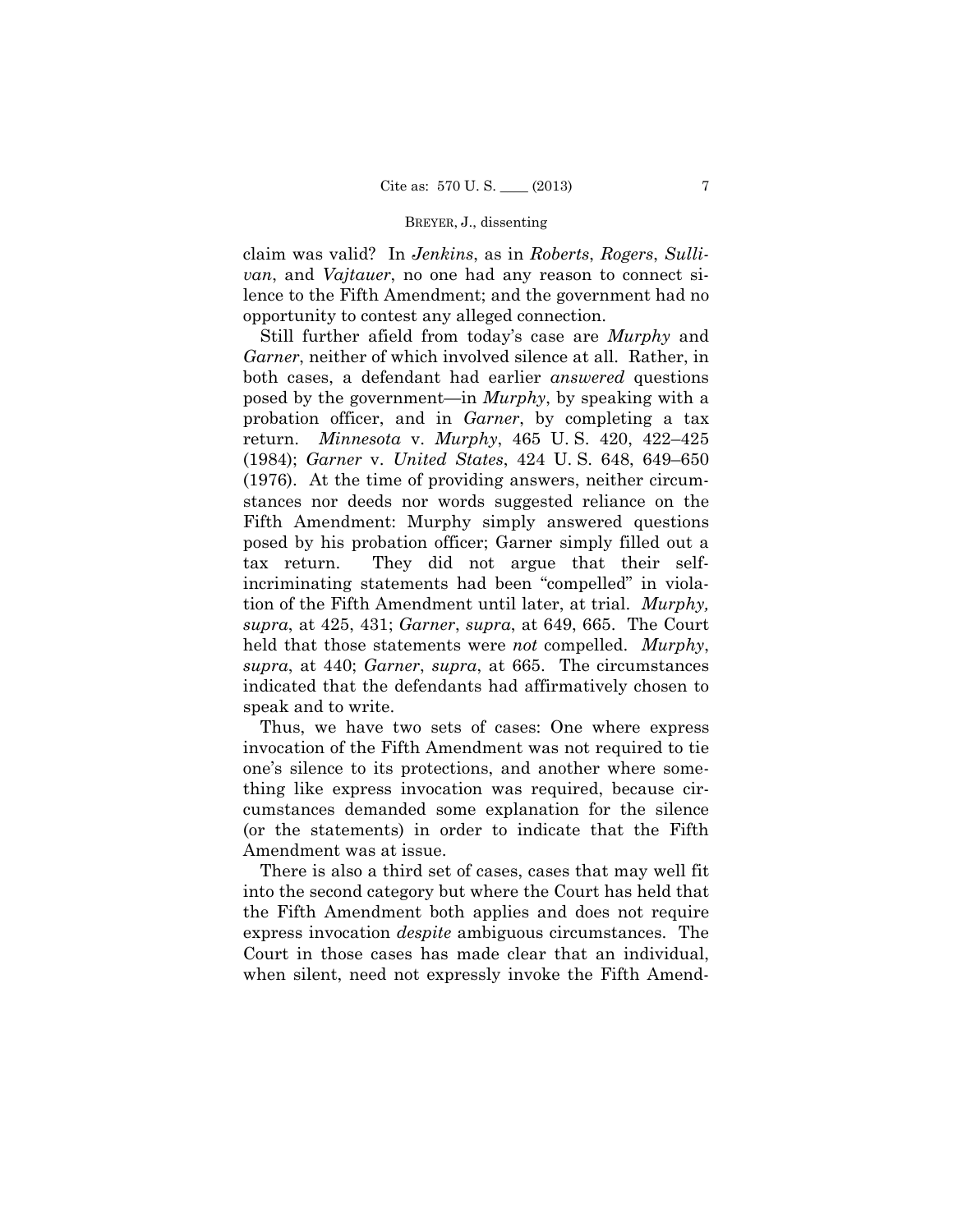claim was valid? In *Jenkins*, as in *Roberts*, *Rogers*, *Sullivan*, and *Vajtauer*, no one had any reason to connect silence to the Fifth Amendment; and the government had no opportunity to contest any alleged connection.

Still further afield from today's case are *Murphy* and *Garner*, neither of which involved silence at all. Rather, in both cases, a defendant had earlier *answered* questions posed by the government—in *Murphy*, by speaking with a probation officer, and in *Garner*, by completing a tax return. *Minnesota* v. *Murphy*, 465 U. S. 420, 422–425 (1984); *Garner* v. *United States*, 424 U. S. 648, 649–650 (1976). At the time of providing answers, neither circumstances nor deeds nor words suggested reliance on the Fifth Amendment: Murphy simply answered questions posed by his probation officer; Garner simply filled out a tax return. They did not argue that their selfincriminating statements had been "compelled" in violation of the Fifth Amendment until later, at trial. *Murphy, supra*, at 425, 431; *Garner*, *supra*, at 649, 665. The Court held that those statements were *not* compelled. *Murphy*, *supra*, at 440; *Garner*, *supra*, at 665. The circumstances indicated that the defendants had affirmatively chosen to speak and to write.

Thus, we have two sets of cases: One where express invocation of the Fifth Amendment was not required to tie one's silence to its protections, and another where something like express invocation was required, because circumstances demanded some explanation for the silence (or the statements) in order to indicate that the Fifth Amendment was at issue.

There is also a third set of cases, cases that may well fit into the second category but where the Court has held that the Fifth Amendment both applies and does not require express invocation *despite* ambiguous circumstances. The Court in those cases has made clear that an individual, when silent, need not expressly invoke the Fifth Amend-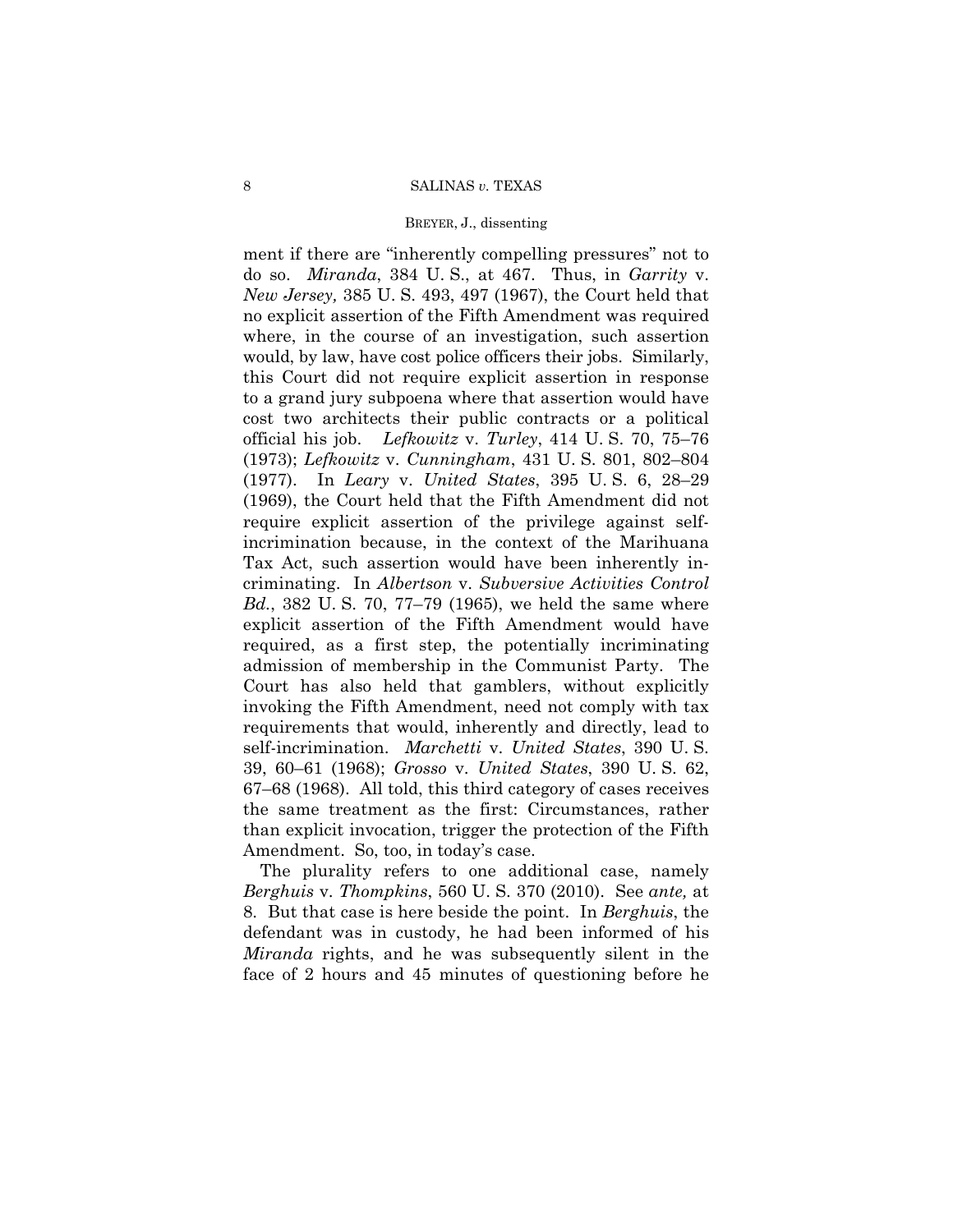### BREYER, J., dissenting

 this Court did not require explicit assertion in response ment if there are "inherently compelling pressures" not to do so. *Miranda*, 384 U. S., at 467. Thus, in *Garrity* v. *New Jersey,* 385 U. S. 493, 497 (1967), the Court held that no explicit assertion of the Fifth Amendment was required where, in the course of an investigation, such assertion would, by law, have cost police officers their jobs. Similarly, to a grand jury subpoena where that assertion would have cost two architects their public contracts or a political official his job. *Lefkowitz* v. *Turley*, 414 U. S. 70, 75–76 (1973); *Lefkowitz* v. *Cunningham*, 431 U. S. 801, 802–804 (1977). In *Leary* v. *United States*, 395 U. S. 6, 28–29 (1969), the Court held that the Fifth Amendment did not require explicit assertion of the privilege against selfincrimination because, in the context of the Marihuana Tax Act, such assertion would have been inherently incriminating. In *Albertson* v. *Subversive Activities Control Bd.*, 382 U. S. 70, 77–79 (1965), we held the same where explicit assertion of the Fifth Amendment would have required, as a first step, the potentially incriminating admission of membership in the Communist Party. The Court has also held that gamblers, without explicitly invoking the Fifth Amendment, need not comply with tax requirements that would, inherently and directly, lead to self-incrimination. *Marchetti* v. *United States*, 390 U. S. 39, 60–61 (1968); *Grosso* v. *United States*, 390 U. S. 62, 67–68 (1968). All told, this third category of cases receives the same treatment as the first: Circumstances, rather than explicit invocation, trigger the protection of the Fifth Amendment. So, too, in today's case.

The plurality refers to one additional case, namely *Berghuis* v. *Thompkins*, 560 U. S. 370 (2010). See *ante,* at 8. But that case is here beside the point. In *Berghuis*, the defendant was in custody, he had been informed of his *Miranda* rights, and he was subsequently silent in the face of 2 hours and 45 minutes of questioning before he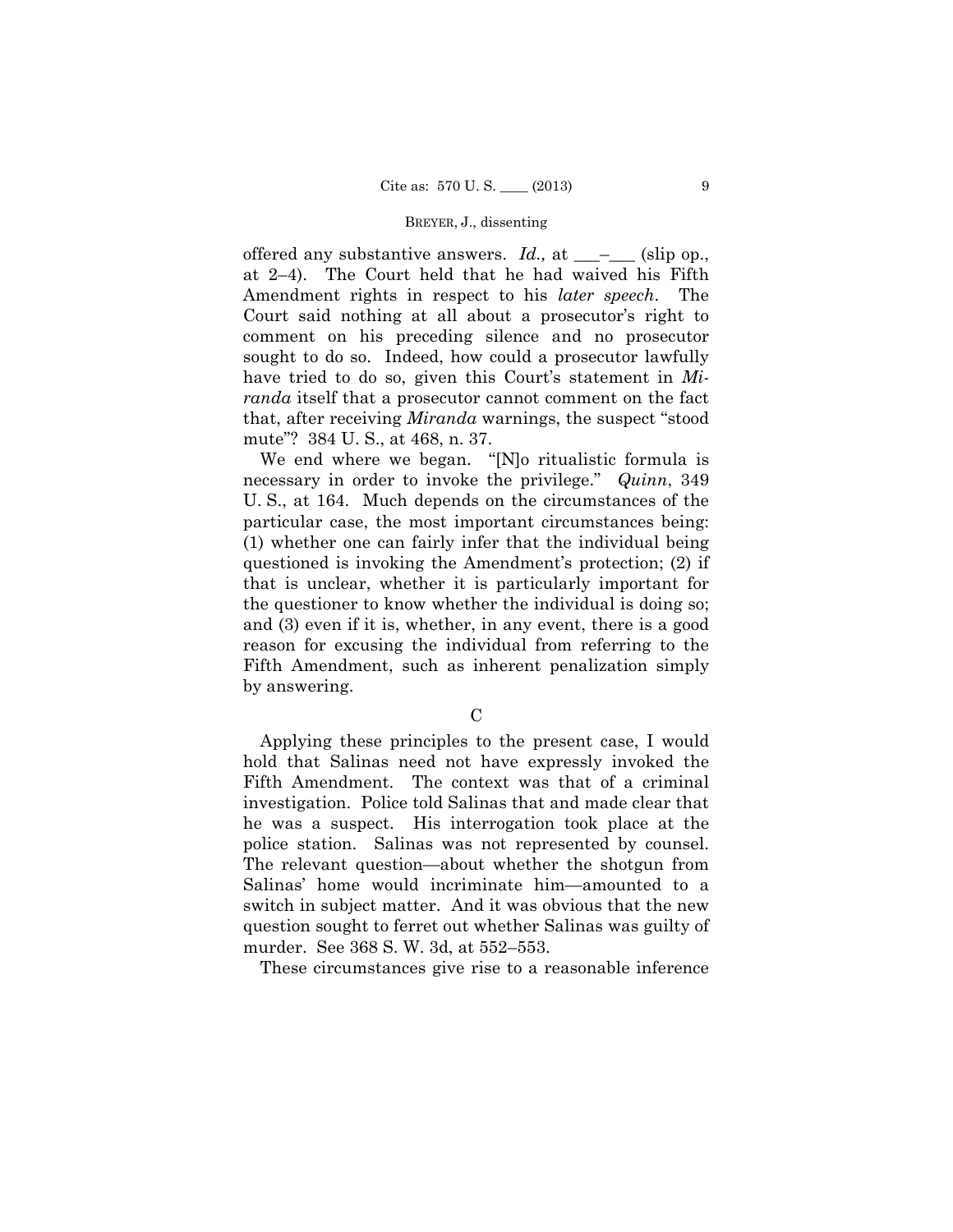offered any substantive answers. *Id.*, at \_\_\_<sup>\_</sup>\_\_\_ (slip op., at 2–4). The Court held that he had waived his Fifth Amendment rights in respect to his *later speech*. The Court said nothing at all about a prosecutor's right to comment on his preceding silence and no prosecutor sought to do so. Indeed, how could a prosecutor lawfully have tried to do so, given this Court's statement in *Miranda* itself that a prosecutor cannot comment on the fact that, after receiving *Miranda* warnings, the suspect "stood mute"? 384 U. S., at 468, n. 37.

We end where we began. "[N]o ritualistic formula is necessary in order to invoke the privilege." *Quinn*, 349 U. S., at 164. Much depends on the circumstances of the particular case, the most important circumstances being: (1) whether one can fairly infer that the individual being questioned is invoking the Amendment's protection; (2) if that is unclear, whether it is particularly important for the questioner to know whether the individual is doing so; and (3) even if it is, whether, in any event, there is a good reason for excusing the individual from referring to the Fifth Amendment, such as inherent penalization simply by answering.

C

Applying these principles to the present case, I would hold that Salinas need not have expressly invoked the Fifth Amendment. The context was that of a criminal investigation. Police told Salinas that and made clear that he was a suspect. His interrogation took place at the police station. Salinas was not represented by counsel. The relevant question—about whether the shotgun from Salinas' home would incriminate him—amounted to a switch in subject matter. And it was obvious that the new question sought to ferret out whether Salinas was guilty of murder. See 368 S. W. 3d, at 552–553.

These circumstances give rise to a reasonable inference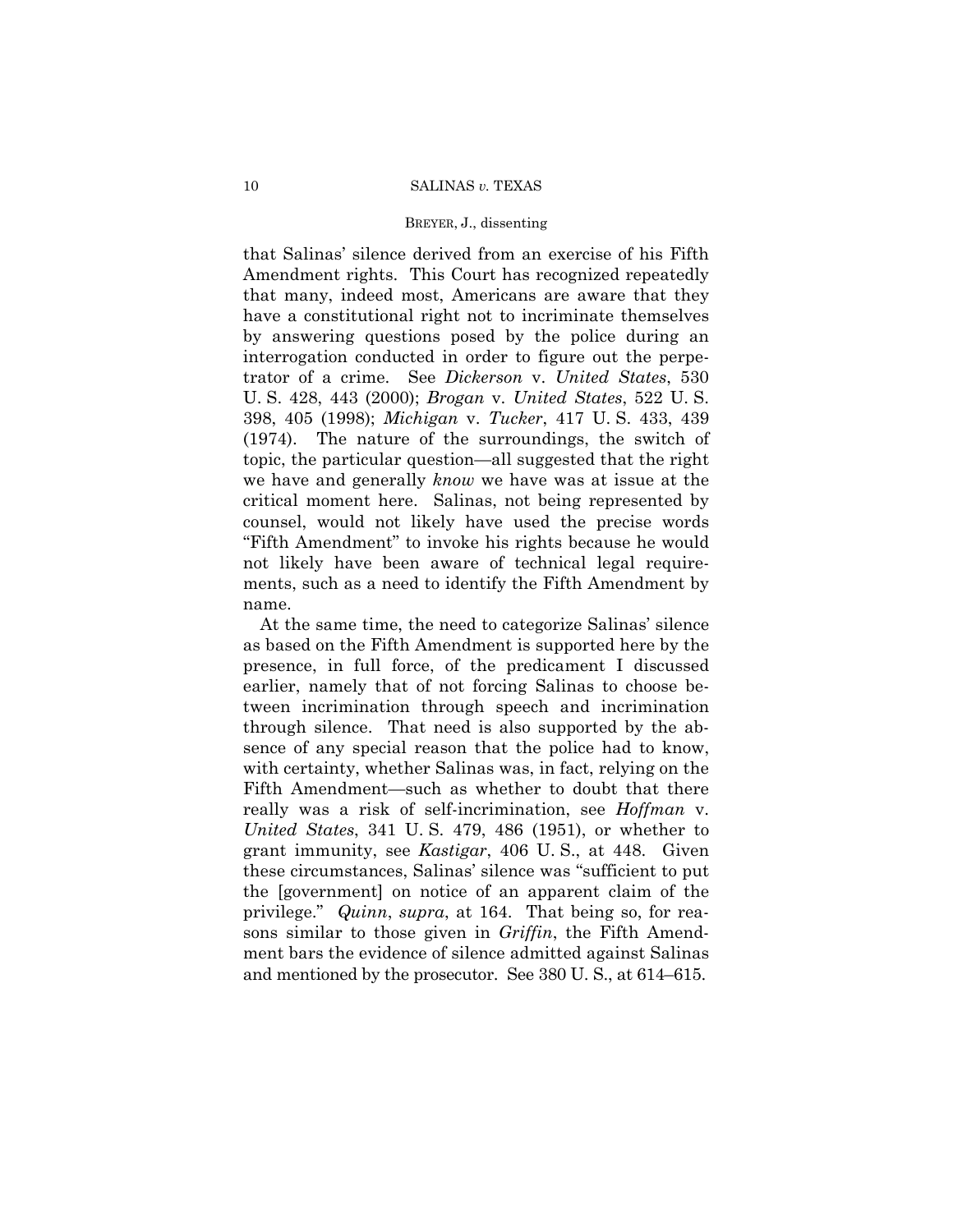### BREYER, J., dissenting

that Salinas' silence derived from an exercise of his Fifth Amendment rights. This Court has recognized repeatedly that many, indeed most, Americans are aware that they have a constitutional right not to incriminate themselves by answering questions posed by the police during an interrogation conducted in order to figure out the perpetrator of a crime. See *Dickerson* v. *United States*, 530 U. S. 428, 443 (2000); *Brogan* v. *United States*, 522 U. S. 398, 405 (1998); *Michigan* v. *Tucker*, 417 U. S. 433, 439 (1974). The nature of the surroundings, the switch of topic, the particular question—all suggested that the right we have and generally *know* we have was at issue at the critical moment here. Salinas, not being represented by counsel, would not likely have used the precise words "Fifth Amendment" to invoke his rights because he would not likely have been aware of technical legal requirements, such as a need to identify the Fifth Amendment by name.

At the same time, the need to categorize Salinas' silence as based on the Fifth Amendment is supported here by the presence, in full force, of the predicament I discussed earlier, namely that of not forcing Salinas to choose between incrimination through speech and incrimination through silence. That need is also supported by the absence of any special reason that the police had to know, with certainty, whether Salinas was, in fact, relying on the Fifth Amendment—such as whether to doubt that there really was a risk of self-incrimination, see *Hoffman* v. *United States*, 341 U. S. 479, 486 (1951), or whether to grant immunity, see *Kastigar*, 406 U. S., at 448. Given these circumstances, Salinas' silence was "sufficient to put the [government] on notice of an apparent claim of the privilege." *Quinn*, *supra*, at 164. That being so, for reasons similar to those given in *Griffin*, the Fifth Amendment bars the evidence of silence admitted against Salinas and mentioned by the prosecutor. See 380 U. S., at 614–615.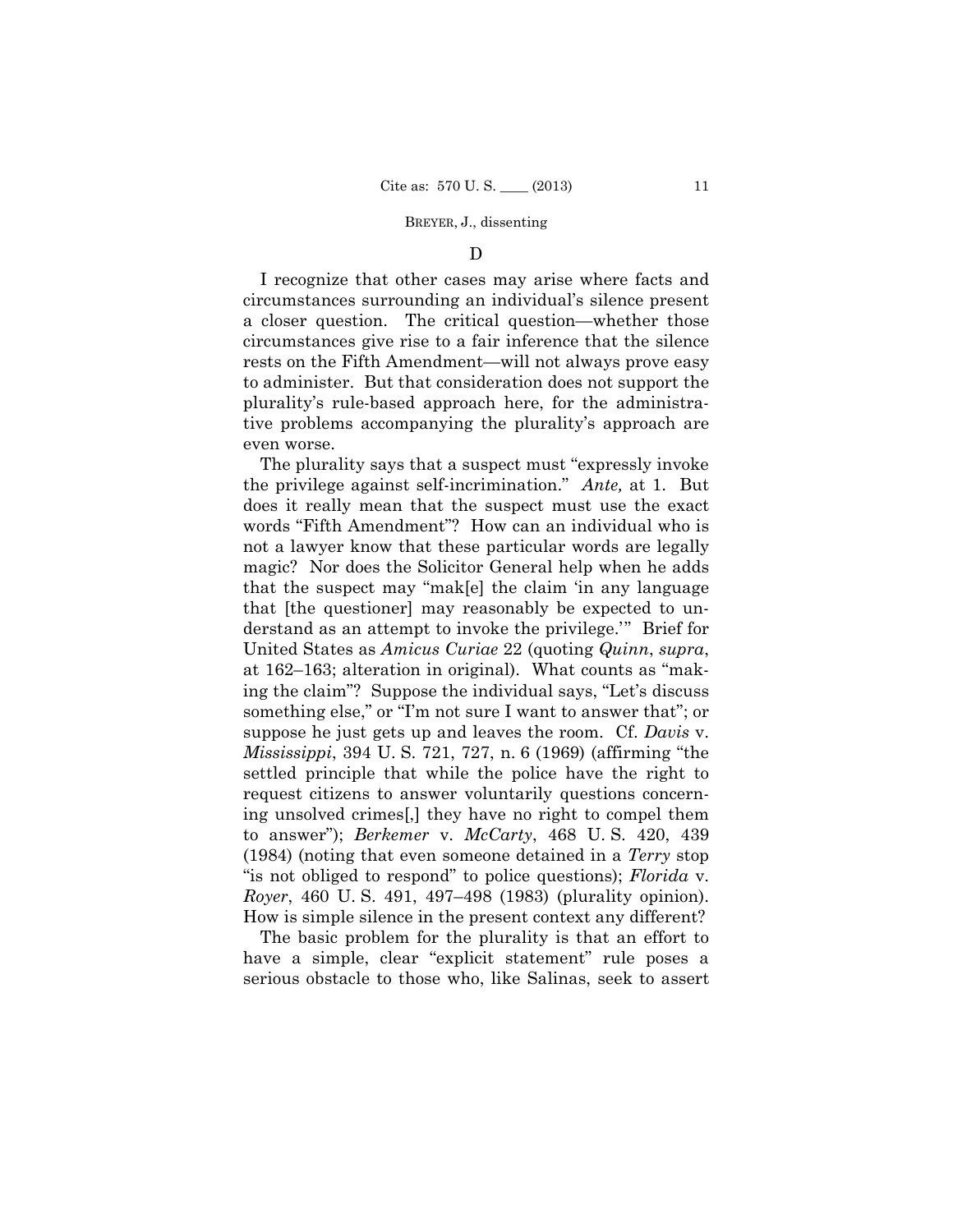### D

I recognize that other cases may arise where facts and circumstances surrounding an individual's silence present a closer question. The critical question—whether those circumstances give rise to a fair inference that the silence rests on the Fifth Amendment—will not always prove easy to administer. But that consideration does not support the plurality's rule-based approach here, for the administrative problems accompanying the plurality's approach are even worse.

The plurality says that a suspect must "expressly invoke the privilege against self-incrimination." *Ante,* at 1. But does it really mean that the suspect must use the exact words "Fifth Amendment"? How can an individual who is not a lawyer know that these particular words are legally magic? Nor does the Solicitor General help when he adds that the suspect may "mak[e] the claim 'in any language that [the questioner] may reasonably be expected to understand as an attempt to invoke the privilege.'" Brief for United States as *Amicus Curiae* 22 (quoting *Quinn*, *supra*, at 162–163; alteration in original). What counts as "making the claim"? Suppose the individual says, "Let's discuss something else," or "I'm not sure I want to answer that"; or suppose he just gets up and leaves the room. Cf. *Davis* v. *Mississippi*, 394 U. S. 721, 727, n. 6 (1969) (affirming "the settled principle that while the police have the right to request citizens to answer voluntarily questions concerning unsolved crimes[,] they have no right to compel them to answer"); *Berkemer* v. *McCarty*, 468 U. S. 420, 439 (1984) (noting that even someone detained in a *Terry* stop "is not obliged to respond" to police questions); *Florida* v. *Royer*, 460 U. S. 491, 497–498 (1983) (plurality opinion). How is simple silence in the present context any different?

The basic problem for the plurality is that an effort to have a simple, clear "explicit statement" rule poses a serious obstacle to those who, like Salinas, seek to assert